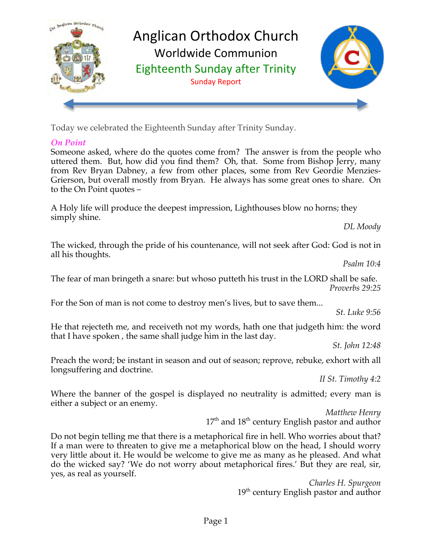

Today we celebrated the Eighteenth Sunday after Trinity Sunday.

# *On Point*

Someone asked, where do the quotes come from? The answer is from the people who uttered them. But, how did you find them? Oh, that. Some from Bishop Jerry, many from Rev Bryan Dabney, a few from other places, some from Rev Geordie Menzies-Grierson, but overall mostly from Bryan. He always has some great ones to share. On to the On Point quotes –

A Holy life will produce the deepest impression, Lighthouses blow no horns; they simply shine.

*DL Moody*

The wicked, through the pride of his countenance, will not seek after God: God is not in all his thoughts.

*Psalm 10:4*

The fear of man bringeth a snare: but whoso putteth his trust in the LORD shall be safe. *Proverbs 29:25*

For the Son of man is not come to destroy men's lives, but to save them...

*St. Luke 9:56*

He that rejecteth me, and receiveth not my words, hath one that judgeth him: the word that I have spoken , the same shall judge him in the last day.

*St. John 12:48*

Preach the word; be instant in season and out of season; reprove, rebuke, exhort with all longsuffering and doctrine.

*II St. Timothy 4:2*

Where the banner of the gospel is displayed no neutrality is admitted; every man is either a subject or an enemy.

*Matthew Henry* 17<sup>th</sup> and 18<sup>th</sup> century English pastor and author

Do not begin telling me that there is a metaphorical fire in hell. Who worries about that? If a man were to threaten to give me a metaphorical blow on the head, I should worry very little about it. He would be welcome to give me as many as he pleased. And what do the wicked say? 'We do not worry about metaphorical fires.' But they are real, sir, yes, as real as yourself.

*Charles H. Spurgeon* 19<sup>th</sup> century English pastor and author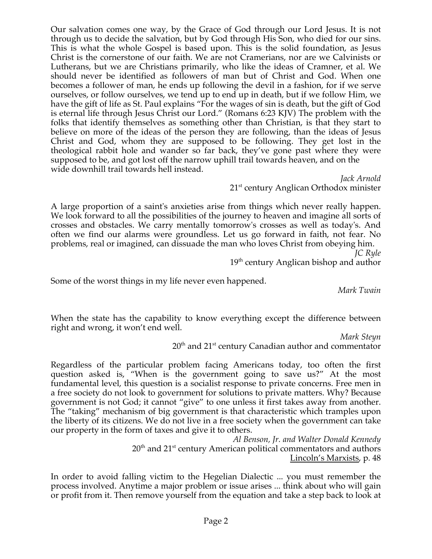Our salvation comes one way, by the Grace of God through our Lord Jesus. It is not through us to decide the salvation, but by God through His Son, who died for our sins. This is what the whole Gospel is based upon. This is the solid foundation, as Jesus Christ is the cornerstone of our faith. We are not Cramerians, nor are we Calvinists or Lutherans, but we are Christians primarily, who like the ideas of Cramner, et al. We should never be identified as followers of man but of Christ and God. When one becomes a follower of man, he ends up following the devil in a fashion, for if we serve ourselves, or follow ourselves, we tend up to end up in death, but if we follow Him, we have the gift of life as St. Paul explains "For the wages of sin is death, but the gift of God is eternal life through Jesus Christ our Lord." (Romans 6:23 KJV) The problem with the folks that identify themselves as something other than Christian, is that they start to believe on more of the ideas of the person they are following, than the ideas of Jesus Christ and God, whom they are supposed to be following. They get lost in the theological rabbit hole and wander so far back, they've gone past where they were supposed to be, and got lost off the narrow uphill trail towards heaven, and on the wide downhill trail towards hell instead.

*Jack Arnold* 21<sup>st</sup> century Anglican Orthodox minister

A large proportion of a saint's anxieties arise from things which never really happen. We look forward to all the possibilities of the journey to heaven and imagine all sorts of crosses and obstacles. We carry mentally tomorrow's crosses as well as today's. And often we find our alarms were groundless. Let us go forward in faith, not fear. No problems, real or imagined, can dissuade the man who loves Christ from obeying him.

*JC Ryle* 19<sup>th</sup> century Anglican bishop and author

Some of the worst things in my life never even happened.

*Mark Twain* 

When the state has the capability to know everything except the difference between right and wrong, it won't end well.

*Mark Steyn*

 $20<sup>th</sup>$  and  $21<sup>st</sup>$  century Canadian author and commentator

Regardless of the particular problem facing Americans today, too often the first question asked is, "When is the government going to save us?" At the most fundamental level, this question is a socialist response to private concerns. Free men in a free society do not look to government for solutions to private matters. Why? Because government is not God; it cannot "give" to one unless it first takes away from another. The "taking" mechanism of big government is that characteristic which tramples upon the liberty of its citizens. We do not live in a free society when the government can take our property in the form of taxes and give it to others.

> *Al Benson, Jr. and Walter Donald Kennedy* 20<sup>th</sup> and 21<sup>st</sup> century American political commentators and authors Lincoln's Marxists, p. 48

In order to avoid falling victim to the Hegelian Dialectic ... you must remember the process involved. Anytime a major problem or issue arises ... think about who will gain or profit from it. Then remove yourself from the equation and take a step back to look at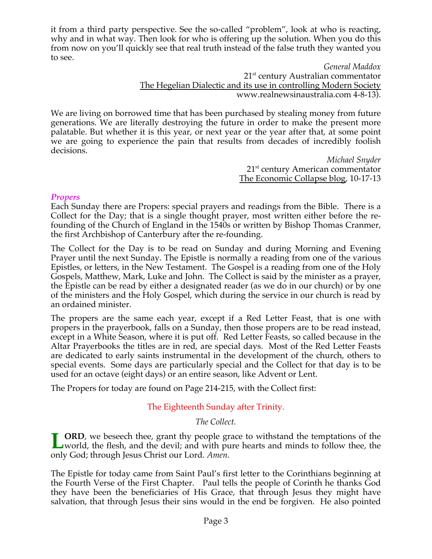it from a third party perspective. See the so-called "problem", look at who is reacting, why and in what way. Then look for who is offering up the solution. When you do this from now on you'll quickly see that real truth instead of the false truth they wanted you to see.

> *General Maddox* 21<sup>st</sup> century Australian commentator The Hegelian Dialectic and its use in controlling Modern Society www.realnewsinaustralia.com 4-8-13).

We are living on borrowed time that has been purchased by stealing money from future generations. We are literally destroying the future in order to make the present more palatable. But whether it is this year, or next year or the year after that, at some point we are going to experience the pain that results from decades of incredibly foolish decisions.

> *Michael Snyder* 21<sup>st</sup> century American commentator The Economic Collapse blog, 10-17-13

### *Propers*

Each Sunday there are Propers: special prayers and readings from the Bible. There is a Collect for the Day; that is a single thought prayer, most written either before the refounding of the Church of England in the 1540s or written by Bishop Thomas Cranmer, the first Archbishop of Canterbury after the re-founding.

The Collect for the Day is to be read on Sunday and during Morning and Evening Prayer until the next Sunday. The Epistle is normally a reading from one of the various Epistles, or letters, in the New Testament. The Gospel is a reading from one of the Holy Gospels, Matthew, Mark, Luke and John. The Collect is said by the minister as a prayer, the Epistle can be read by either a designated reader (as we do in our church) or by one of the ministers and the Holy Gospel, which during the service in our church is read by an ordained minister.

The propers are the same each year, except if a Red Letter Feast, that is one with propers in the prayerbook, falls on a Sunday, then those propers are to be read instead, except in a White Season, where it is put off. Red Letter Feasts, so called because in the Altar Prayerbooks the titles are in red, are special days. Most of the Red Letter Feasts are dedicated to early saints instrumental in the development of the church, others to special events. Some days are particularly special and the Collect for that day is to be used for an octave (eight days) or an entire season, like Advent or Lent.

The Propers for today are found on Page 214-215, with the Collect first:

# The Eighteenth Sunday after Trinity.

*The Collect.*

**ORD**, we beseech thee, grant thy people grace to withstand the temptations of the **LORD**, we beseech thee, grant thy people grace to withstand the temptations of the world, the flesh, and the devil; and with pure hearts and minds to follow thee, the only God; through Jesus Christ our Lord. *Amen*.

The Epistle for today came from Saint Paul's first letter to the Corinthians beginning at the Fourth Verse of the First Chapter. Paul tells the people of Corinth he thanks God they have been the beneficiaries of His Grace, that through Jesus they might have salvation, that through Jesus their sins would in the end be forgiven. He also pointed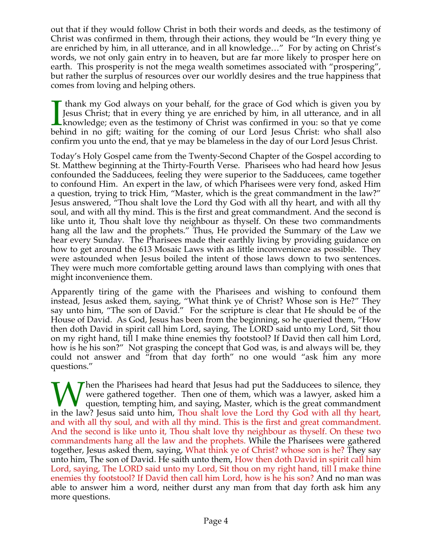out that if they would follow Christ in both their words and deeds, as the testimony of Christ was confirmed in them, through their actions, they would be "In every thing ye are enriched by him, in all utterance, and in all knowledge…" For by acting on Christ's words, we not only gain entry in to heaven, but are far more likely to prosper here on earth. This prosperity is not the mega wealth sometimes associated with "prospering", but rather the surplus of resources over our worldly desires and the true happiness that comes from loving and helping others.

 thank my God always on your behalf, for the grace of God which is given you by Jesus Christ; that in every thing ye are enriched by him, in all utterance, and in all knowledge; even as the testimony of Christ was confirmed in you: so that ye come behind in no gift; waiting for the coming of our Lord Jesus Christ: who shall also confirm you unto the end, that ye may be blameless in the day of our Lord Jesus Christ.  $\prod_{\text{bel}}$ 

Today's Holy Gospel came from the Twenty-Second Chapter of the Gospel according to St. Matthew beginning at the Thirty-Fourth Verse. Pharisees who had heard how Jesus confounded the Sadducees, feeling they were superior to the Sadducees, came together to confound Him. An expert in the law, of which Pharisees were very fond, asked Him a question, trying to trick Him, "Master, which is the great commandment in the law?" Jesus answered, "Thou shalt love the Lord thy God with all thy heart, and with all thy soul, and with all thy mind. This is the first and great commandment. And the second is like unto it, Thou shalt love thy neighbour as thyself. On these two commandments hang all the law and the prophets." Thus, He provided the Summary of the Law we hear every Sunday. The Pharisees made their earthly living by providing guidance on how to get around the 613 Mosaic Laws with as little inconvenience as possible. They were astounded when Jesus boiled the intent of those laws down to two sentences. They were much more comfortable getting around laws than complying with ones that might inconvenience them.

Apparently tiring of the game with the Pharisees and wishing to confound them instead, Jesus asked them, saying, "What think ye of Christ? Whose son is He?" They say unto him, "The son of David." For the scripture is clear that He should be of the House of David. As God, Jesus has been from the beginning, so he queried them, "How then doth David in spirit call him Lord, saying, The LORD said unto my Lord, Sit thou on my right hand, till I make thine enemies thy footstool? If David then call him Lord, how is he his son?" Not grasping the concept that God was, is and always will be, they could not answer and "from that day forth" no one would "ask him any more questions."

Then the Pharisees had heard that Jesus had put the Sadducees to silence, they were gathered together. Then one of them, which was a lawyer, asked him a question, tempting him, and saying, Master, which is the great commandment When the Pharisees had heard that Jesus had put the Sadducees to silence, they were gathered together. Then one of them, which was a lawyer, asked him a question, tempting him, and saying, Master, which is the great comman and with all thy soul, and with all thy mind. This is the first and great commandment. And the second is like unto it, Thou shalt love thy neighbour as thyself. On these two commandments hang all the law and the prophets. While the Pharisees were gathered together, Jesus asked them, saying, What think ye of Christ? whose son is he? They say unto him, The son of David. He saith unto them, How then doth David in spirit call him Lord, saying, The LORD said unto my Lord, Sit thou on my right hand, till I make thine enemies thy footstool? If David then call him Lord, how is he his son? And no man was able to answer him a word, neither durst any man from that day forth ask him any more questions.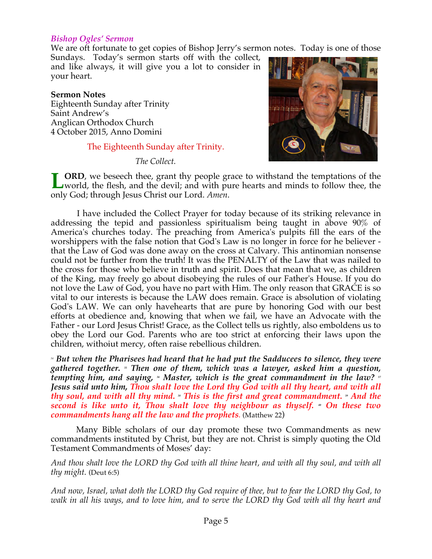#### *Bishop Ogles' Sermon*

We are oft fortunate to get copies of Bishop Jerry's sermon notes. Today is one of those

Sundays. Today's sermon starts off with the collect, and like always, it will give you a lot to consider in your heart.

#### **Sermon Notes**

Eighteenth Sunday after Trinity Saint Andrew's Anglican Orthodox Church 4 October 2015, Anno Domini

### The Eighteenth Sunday after Trinity.

*The Collect.*



**LORD**, we beseech thee, grant thy people grace to withstand the temptations of the world, the flesh, and the devil; and with pure hearts and minds to follow thee, the world, the flesh, and the devil; and with pure hearts and minds to follow thee, the only God; through Jesus Christ our Lord. *Amen*.

 I have included the Collect Prayer for today because of its striking relevance in addressing the tepid and passionless spiritualism being taught in above 90% of America's churches today. The preaching from America's pulpits fill the ears of the worshippers with the false notion that God's Law is no longer in force for he believer that the Law of God was done away on the cross at Calvary. This antinomian nonsense could not be further from the truth! It was the PENALTY of the Law that was nailed to the cross for those who believe in truth and spirit. Does that mean that we, as children of the King, may freely go about disobeying the rules of our Father's House. If you do not love the Law of God, you have no part with Him. The only reason that GRACE is so vital to our interests is because the LAW does remain. Grace is absolution of violating God's LAW. We can only havehearts that are pure by honoring God with our best efforts at obedience and, knowing that when we fail, we have an Advocate with the Father - our Lord Jesus Christ! Grace, as the Collect tells us rightly, also emboldens us to obey the Lord our God. Parents who are too strict at enforcing their laws upon the children, withoiut mercy, often raise rebellious children.

*<sup>34</sup> But when the Pharisees had heard that he had put the Sadducees to silence, they were gathered together. 35 Then one of them, which was a lawyer, asked him a question, tempting him, and saying, <sup>36</sup> Master, which is the great commandment in the law?* <sup>37</sup> *Jesus said unto him, Thou shalt love the Lord thy God with all thy heart, and with all thy soul, and with all thy mind.* » This is the first and great commandment. » And the *second is like unto it, Thou shalt love thy neighbour as thyself. •* On these two *commandments hang all the law and the prophets.* (Matthew 22)

 Many Bible scholars of our day promote these two Commandments as new commandments instituted by Christ, but they are not. Christ is simply quoting the Old Testament Commandments of Moses' day:

*And thou shalt love the LORD thy God with all thine heart, and with all thy soul, and with all thy might.* (Deut 6:5)

*And now, Israel, what doth the LORD thy God require of thee, but to fear the LORD thy God, to walk in all his ways, and to love him, and to serve the LORD thy God with all thy heart and*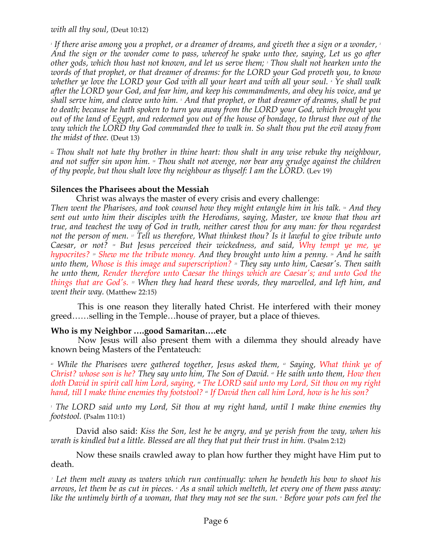*with all thy soul,* (Deut 10:12)

*1 If there arise among you a prophet, or a dreamer of dreams, and giveth thee a sign or a wonder, 2 And the sign or the wonder come to pass, whereof he spake unto thee, saying, Let us go after other gods, which thou hast not known, and let us serve them; 3 Thou shalt not hearken unto the words of that prophet, or that dreamer of dreams: for the LORD your God proveth you, to know*  whether ye love the LORD your God with all your heart and with all your soul. <sub>'</sub> Ye shall walk *after the LORD your God, and fear him, and keep his commandments, and obey his voice, and ye shall serve him, and cleave unto him. 5 And that prophet, or that dreamer of dreams, shall be put to death; because he hath spoken to turn you away from the LORD your God, which brought you out of the land of Egypt, and redeemed you out of the house of bondage, to thrust thee out of the way which the LORD thy God commanded thee to walk in. So shalt thou put the evil away from the midst of thee.* (Deut 13)

*<sup>17</sup> Thou shalt not hate thy brother in thine heart: thou shalt in any wise rebuke thy neighbour, and not suffer sin upon him. 18 Thou shalt not avenge, nor bear any grudge against the children of thy people, but thou shalt love thy neighbour as thyself: I am the LORD.* (Lev 19)

# **Silences the Pharisees about the Messiah**

Christ was always the master of every crisis and every challenge:

*Then went the Pharisees, and took counsel how they might entangle him in his talk. 16 And they sent out unto him their disciples with the Herodians, saying, Master, we know that thou art true, and teachest the way of God in truth, neither carest thou for any man: for thou regardest not the person of men. 17 Tell us therefore, What thinkest thou? Is it lawful to give tribute unto Caesar, or not? 18 But Jesus perceived their wickedness, and said, Why tempt ye me, ye hypocrites?* <sup>3</sup> Shew me the tribute money. And they brought unto him a penny. <sup>20</sup> And he saith *unto them, Whose is this image and superscription? <sup>21</sup> They say unto him, Caesar's. Then saith he unto them, Render therefore unto Caesar the things which are Caesar's; and unto God the things that are God's. 22 When they had heard these words, they marvelled, and left him, and went their way.* (Matthew 22:15)

 This is one reason they literally hated Christ. He interfered with their money greed……selling in the Temple…house of prayer, but a place of thieves.

# **Who is my Neighbor ….good Samaritan….etc**

 Now Jesus will also present them with a dilemma they should already have known being Masters of the Pentateuch:

<sup>41</sup> While the Pharisees were gathered together, Jesus asked them, <sup>42</sup> Saying, What think ye of *Christ? whose son is he? They say unto him, The Son of David.* <sup>45</sup> He saith unto them, How then *doth David in spirit call him Lord, saying, 44 The LORD said unto my Lord, Sit thou on my right hand, till I make thine enemies thy footstool? 45 If David then call him Lord, how is he his son?*

*1 The LORD said unto my Lord, Sit thou at my right hand, until I make thine enemies thy footstool.* (Psalm 110:1)

David also said: *Kiss the Son, lest he be angry, and ye perish from the way, when his wrath is kindled but a little. Blessed are all they that put their trust in him.* (Psalm 2:12)

Now these snails crawled away to plan how further they might have Him put to death.

 *7 Let them melt away as waters which run continually: when he bendeth his bow to shoot his*  arrows, let them be as cut in pieces. <sub>\*</sub> As a snail which melteth, let every one of them pass away: like the untimely birth of a woman, that they may not see the sun. <sup>,</sup> Before your pots can feel the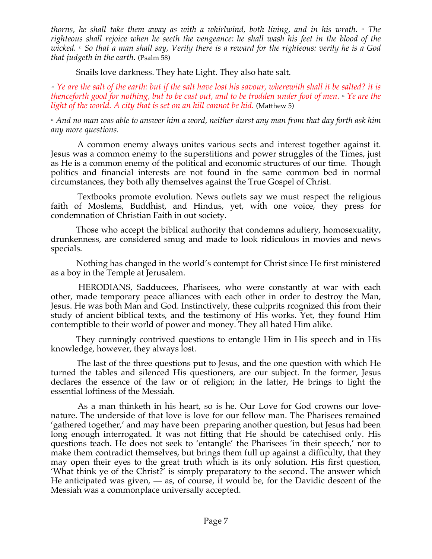*thorns, he shall take them away as with a whirlwind, both living, and in his wrath. 10 The righteous shall rejoice when he seeth the vengeance: he shall wash his feet in the blood of the wicked. 11 So that a man shall say, Verily there is a reward for the righteous: verily he is a God that judgeth in the earth*. (Psalm 58)

Snails love darkness. They hate Light. They also hate salt.

*<sup>13</sup> Ye are the salt of the earth: but if the salt have lost his savour, wherewith shall it be salted? it is thenceforth good for nothing, but to be cast out, and to be trodden under foot of men. 14 Ye are the light of the world. A city that is set on an hill cannot be hid.* (Matthew 5)

*46 And no man was able to answer him a word, neither durst any man from that day forth ask him any more questions.*

 A common enemy always unites various sects and interest together against it. Jesus was a common enemy to the superstitions and power struggles of the Times, just as He is a common enemy of the political and economic structures of our time. Though politics and financial interests are not found in the same common bed in normal circumstances, they both ally themselves against the True Gospel of Christ.

 Textbooks promote evolution. News outlets say we must respect the religious faith of Moslems, Buddhist, and Hindus, yet, with one voice, they press for condemnation of Christian Faith in out society.

Those who accept the biblical authority that condemns adultery, homosexuality, drunkenness, are considered smug and made to look ridiculous in movies and news specials.

 Nothing has changed in the world's contempt for Christ since He first ministered as a boy in the Temple at Jerusalem.

 HERODIANS, Sadducees, Pharisees, who were constantly at war with each other, made temporary peace alliances with each other in order to destroy the Man, Jesus. He was both Man and God. Instinctively, these cul;prits rcognized this from their study of ancient biblical texts, and the testimony of His works. Yet, they found Him contemptible to their world of power and money. They all hated Him alike.

They cunningly contrived questions to entangle Him in His speech and in His knowledge, however, they always lost.

 The last of the three questions put to Jesus, and the one question with which He turned the tables and silenced His questioners, are our subject. In the former, Jesus declares the essence of the law or of religion; in the latter, He brings to light the essential loftiness of the Messiah.

 As a man thinketh in his heart, so is he. Our Love for God crowns our lovenature. The underside of that love is love for our fellow man. The Pharisees remained 'gathered together,' and may have been preparing another question, but Jesus had been long enough interrogated. It was not fitting that He should be catechised only. His questions teach. He does not seek to 'entangle' the Pharisees 'in their speech,' nor to make them contradict themselves, but brings them full up against a difficulty, that they may open their eyes to the great truth which is its only solution. His first question, 'What think ye of the Christ?' is simply preparatory to the second. The answer which He anticipated was given,  $-$  as, of course, it would be, for the Davidic descent of the Messiah was a commonplace universally accepted.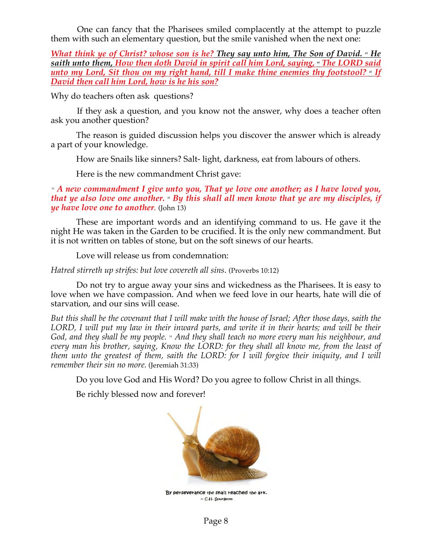One can fancy that the Pharisees smiled complacently at the attempt to puzzle them with such an elementary question, but the smile vanished when the next one:

*What think ye of Christ? whose son is he? They say unto him, The Son of David.*  $\cdot$  He saith unto them, How then doth David in spirit call him Lord, saying, *"The LORD said unto my Lord, Sit thou on my right hand, till I make thine enemies thy footstool?* <sup>5</sup> If *David then call him Lord, how is he his son?*

Why do teachers often ask questions?

 If they ask a question, and you know not the answer, why does a teacher often ask you another question?

The reason is guided discussion helps you discover the answer which is already a part of your knowledge.

How are Snails like sinners? Salt- light, darkness, eat from labours of others.

Here is the new commandment Christ gave:

#### *<sup>34</sup> A new commandment I give unto you, That ye love one another; as I have loved you, that ye also love one another.* <sup>3</sup> By this shall all men know that ye are my disciples, if *ye have love one to another.* (John 13)

These are important words and an identifying command to us. He gave it the night He was taken in the Garden to be crucified. It is the only new commandment. But it is not written on tables of stone, but on the soft sinews of our hearts.

Love will release us from condemnation:

*Hatred stirreth up strifes: but love covereth all sins*. (Proverbs 10:12)

 Do not try to argue away your sins and wickedness as the Pharisees. It is easy to love when we have compassion. And when we feed love in our hearts, hate will die of starvation, and our sins will cease.

*But this shall be the covenant that I will make with the house of Israel; After those days, saith the LORD, I will put my law in their inward parts, and write it in their hearts; and will be their God, and they shall be my people. 34 And they shall teach no more every man his neighbour, and every man his brother, saying, Know the LORD: for they shall all know me, from the least of them unto the greatest of them, saith the LORD: for I will forgive their iniquity, and I will remember their sin no more.* (Jeremiah 31:33)

Do you love God and His Word? Do you agree to follow Christ in all things.

Be richly blessed now and forever!



By perseverance the shall reached the ark. ~ C.H. Spurgeon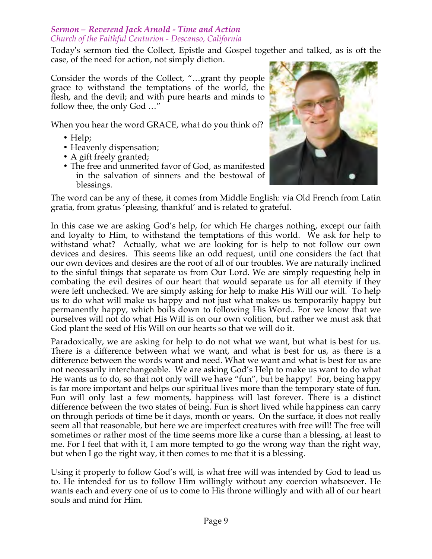### *Sermon – Reverend Jack Arnold - Time and Action Church of the Faithful Centurion - Descanso, California*

Today's sermon tied the Collect, Epistle and Gospel together and talked, as is oft the case, of the need for action, not simply diction.

Consider the words of the Collect, "…grant thy people grace to withstand the temptations of the world, the flesh, and the devil; and with pure hearts and minds to follow thee, the only God …"

When you hear the word GRACE, what do you think of?

- Help;
- Heavenly dispensation;
- A gift freely granted;
- The free and unmerited favor of God, as manifested in the salvation of sinners and the bestowal of blessings.



The word can be any of these, it comes from Middle English: via Old French from Latin gratia, from gratus 'pleasing, thankful' and is related to grateful.

In this case we are asking God's help, for which He charges nothing, except our faith and loyalty to Him, to withstand the temptations of this world. We ask for help to withstand what? Actually, what we are looking for is help to not follow our own devices and desires. This seems like an odd request, until one considers the fact that our own devices and desires are the root of all of our troubles. We are naturally inclined to the sinful things that separate us from Our Lord. We are simply requesting help in combating the evil desires of our heart that would separate us for all eternity if they were left unchecked. We are simply asking for help to make His Will our will. To help us to do what will make us happy and not just what makes us temporarily happy but permanently happy, which boils down to following His Word.. For we know that we ourselves will not do what His Will is on our own volition, but rather we must ask that God plant the seed of His Will on our hearts so that we will do it.

Paradoxically, we are asking for help to do not what we want, but what is best for us. There is a difference between what we want, and what is best for us, as there is a difference between the words want and need. What we want and what is best for us are not necessarily interchangeable. We are asking God's Help to make us want to do what He wants us to do, so that not only will we have "fun", but be happy! For, being happy is far more important and helps our spiritual lives more than the temporary state of fun. Fun will only last a few moments, happiness will last forever. There is a distinct difference between the two states of being. Fun is short lived while happiness can carry on through periods of time be it days, month or years. On the surface, it does not really seem all that reasonable, but here we are imperfect creatures with free will! The free will sometimes or rather most of the time seems more like a curse than a blessing, at least to me. For I feel that with it, I am more tempted to go the wrong way than the right way, but when I go the right way, it then comes to me that it is a blessing.

Using it properly to follow God's will, is what free will was intended by God to lead us to. He intended for us to follow Him willingly without any coercion whatsoever. He wants each and every one of us to come to His throne willingly and with all of our heart souls and mind for Him.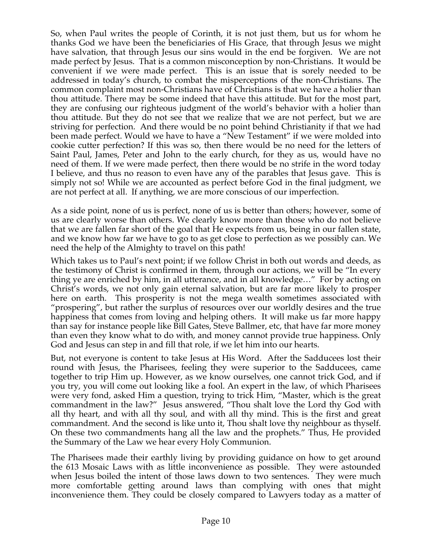So, when Paul writes the people of Corinth, it is not just them, but us for whom he thanks God we have been the beneficiaries of His Grace, that through Jesus we might have salvation, that through Jesus our sins would in the end be forgiven. We are not made perfect by Jesus. That is a common misconception by non-Christians. It would be convenient if we were made perfect. This is an issue that is sorely needed to be addressed in today's church, to combat the misperceptions of the non-Christians. The common complaint most non-Christians have of Christians is that we have a holier than thou attitude. There may be some indeed that have this attitude. But for the most part, they are confusing our righteous judgment of the world's behavior with a holier than thou attitude. But they do not see that we realize that we are not perfect, but we are striving for perfection. And there would be no point behind Christianity if that we had been made perfect. Would we have to have a "New Testament" if we were molded into cookie cutter perfection? If this was so, then there would be no need for the letters of Saint Paul, James, Peter and John to the early church, for they as us, would have no need of them. If we were made perfect, then there would be no strife in the word today I believe, and thus no reason to even have any of the parables that Jesus gave. This is simply not so! While we are accounted as perfect before God in the final judgment, we are not perfect at all. If anything, we are more conscious of our imperfection.

As a side point, none of us is perfect, none of us is better than others; however, some of us are clearly worse than others. We clearly know more than those who do not believe that we are fallen far short of the goal that He expects from us, being in our fallen state, and we know how far we have to go to as get close to perfection as we possibly can. We need the help of the Almighty to travel on this path!

Which takes us to Paul's next point; if we follow Christ in both out words and deeds, as the testimony of Christ is confirmed in them, through our actions, we will be "In every thing ye are enriched by him, in all utterance, and in all knowledge…" For by acting on Christ's words, we not only gain eternal salvation, but are far more likely to prosper here on earth. This prosperity is not the mega wealth sometimes associated with "prospering", but rather the surplus of resources over our worldly desires and the true happiness that comes from loving and helping others. It will make us far more happy than say for instance people like Bill Gates, Steve Ballmer, etc, that have far more money than even they know what to do with, and money cannot provide true happiness. Only God and Jesus can step in and fill that role, if we let him into our hearts.

But, not everyone is content to take Jesus at His Word. After the Sadducees lost their round with Jesus, the Pharisees, feeling they were superior to the Sadducees, came together to trip Him up. However, as we know ourselves, one cannot trick God, and if you try, you will come out looking like a fool. An expert in the law, of which Pharisees were very fond, asked Him a question, trying to trick Him, "Master, which is the great commandment in the law?" Jesus answered, "Thou shalt love the Lord thy God with all thy heart, and with all thy soul, and with all thy mind. This is the first and great commandment. And the second is like unto it, Thou shalt love thy neighbour as thyself. On these two commandments hang all the law and the prophets." Thus, He provided the Summary of the Law we hear every Holy Communion.

The Pharisees made their earthly living by providing guidance on how to get around the 613 Mosaic Laws with as little inconvenience as possible. They were astounded when Jesus boiled the intent of those laws down to two sentences. They were much more comfortable getting around laws than complying with ones that might inconvenience them. They could be closely compared to Lawyers today as a matter of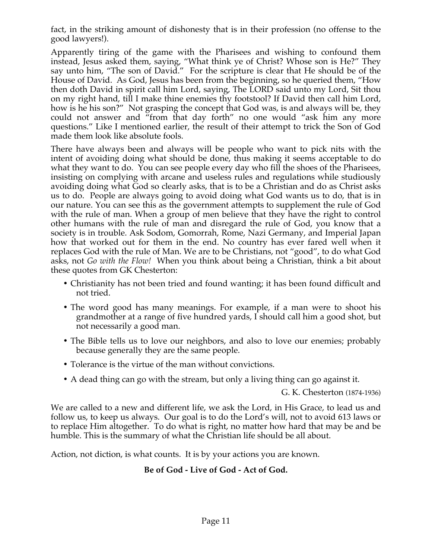fact, in the striking amount of dishonesty that is in their profession (no offense to the good lawyers!).

Apparently tiring of the game with the Pharisees and wishing to confound them instead, Jesus asked them, saying, "What think ye of Christ? Whose son is He?" They say unto him, "The son of David." For the scripture is clear that He should be of the House of David. As God, Jesus has been from the beginning, so he queried them, "How then doth David in spirit call him Lord, saying, The LORD said unto my Lord, Sit thou on my right hand, till I make thine enemies thy footstool? If David then call him Lord, how is he his son?" Not grasping the concept that God was, is and always will be, they could not answer and "from that day forth" no one would "ask him any more questions." Like I mentioned earlier, the result of their attempt to trick the Son of God made them look like absolute fools.

There have always been and always will be people who want to pick nits with the intent of avoiding doing what should be done, thus making it seems acceptable to do what they want to do. You can see people every day who fill the shoes of the Pharisees, insisting on complying with arcane and useless rules and regulations while studiously avoiding doing what God so clearly asks, that is to be a Christian and do as Christ asks us to do. People are always going to avoid doing what God wants us to do, that is in our nature. You can see this as the government attempts to supplement the rule of God with the rule of man. When a group of men believe that they have the right to control other humans with the rule of man and disregard the rule of God, you know that a society is in trouble. Ask Sodom, Gomorrah, Rome, Nazi Germany, and Imperial Japan how that worked out for them in the end. No country has ever fared well when it replaces God with the rule of Man. We are to be Christians, not "good", to do what God asks, not *Go with the Flow!* When you think about being a Christian, think a bit about these quotes from GK Chesterton:

- Christianity has not been tried and found wanting; it has been found difficult and not tried.
- The word good has many meanings. For example, if a man were to shoot his grandmother at a range of five hundred yards, I should call him a good shot, but not necessarily a good man.
- The Bible tells us to love our neighbors, and also to love our enemies; probably because generally they are the same people.
- Tolerance is the virtue of the man without convictions.
- A dead thing can go with the stream, but only a living thing can go against it.

G. K. Chesterton (1874-1936)

We are called to a new and different life, we ask the Lord, in His Grace, to lead us and follow us, to keep us always. Our goal is to do the Lord's will, not to avoid 613 laws or to replace Him altogether. To do what is right, no matter how hard that may be and be humble. This is the summary of what the Christian life should be all about.

Action, not diction, is what counts. It is by your actions you are known.

# **Be of God - Live of God - Act of God.**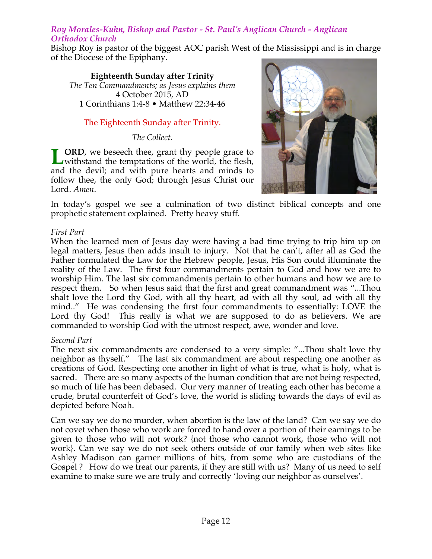### *Roy Morales-Kuhn, Bishop and Pastor - St. Paul's Anglican Church - Anglican Orthodox Church*

Bishop Roy is pastor of the biggest AOC parish West of the Mississippi and is in charge of the Diocese of the Epiphany.

**Eighteenth Sunday after Trinity** *The Ten Commandments; as Jesus explains them* 4 October 2015, AD 1 Corinthians 1:4-8 • Matthew 22:34-46

# The Eighteenth Sunday after Trinity.

*The Collect.*

**ORD**, we beseech thee, grant thy people grace to **LORD**, we beseech thee, grant thy people grace to withstand the temptations of the world, the flesh, and the devil; and with pure hearts and minds to follow thee, the only God; through Jesus Christ our Lord. *Amen*.



In today's gospel we see a culmination of two distinct biblical concepts and one prophetic statement explained. Pretty heavy stuff.

### *First Part*

When the learned men of Jesus day were having a bad time trying to trip him up on legal matters, Jesus then adds insult to injury. Not that he can't, after all as God the Father formulated the Law for the Hebrew people, Jesus, His Son could illuminate the reality of the Law. The first four commandments pertain to God and how we are to worship Him. The last six commandments pertain to other humans and how we are to respect them. So when Jesus said that the first and great commandment was "...Thou shalt love the Lord thy God, with all thy heart, ad with all thy soul, ad with all thy mind.." He was condensing the first four commandments to essentially: LOVE the Lord thy God! This really is what we are supposed to do as believers. We are commanded to worship God with the utmost respect, awe, wonder and love.

### *Second Part*

The next six commandments are condensed to a very simple: "...Thou shalt love thy neighbor as thyself." The last six commandment are about respecting one another as creations of God. Respecting one another in light of what is true, what is holy, what is sacred. There are so many aspects of the human condition that are not being respected, so much of life has been debased. Our very manner of treating each other has become a crude, brutal counterfeit of God's love, the world is sliding towards the days of evil as depicted before Noah.

Can we say we do no murder, when abortion is the law of the land? Can we say we do not covet when those who work are forced to hand over a portion of their earnings to be given to those who will not work? {not those who cannot work, those who will not work}. Can we say we do not seek others outside of our family when web sites like Ashley Madison can garner millions of hits, from some who are custodians of the Gospel ? How do we treat our parents, if they are still with us? Many of us need to self examine to make sure we are truly and correctly 'loving our neighbor as ourselves'.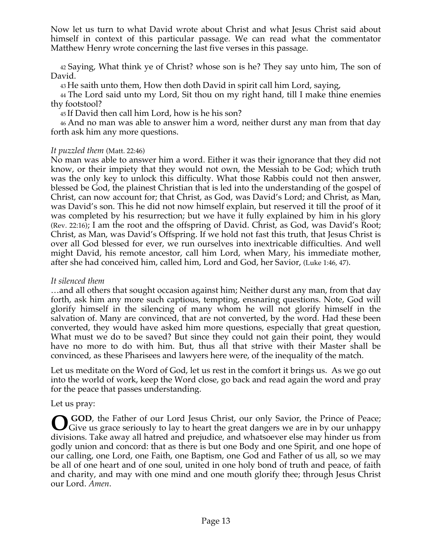Now let us turn to what David wrote about Christ and what Jesus Christ said about himself in context of this particular passage. We can read what the commentator Matthew Henry wrote concerning the last five verses in this passage.

42 Saying, What think ye of Christ? whose son is he? They say unto him, The son of David.

43 He saith unto them, How then doth David in spirit call him Lord, saying,

44 The Lord said unto my Lord, Sit thou on my right hand, till I make thine enemies thy footstool?

45 If David then call him Lord, how is he his son?

46 And no man was able to answer him a word, neither durst any man from that day forth ask him any more questions.

### *It puzzled them* (Matt. 22:46)

No man was able to answer him a word. Either it was their ignorance that they did not know, or their impiety that they would not own, the Messiah to be God; which truth was the only key to unlock this difficulty. What those Rabbis could not then answer, blessed be God, the plainest Christian that is led into the understanding of the gospel of Christ, can now account for; that Christ, as God, was David's Lord; and Christ, as Man, was David's son. This he did not now himself explain, but reserved it till the proof of it was completed by his resurrection; but we have it fully explained by him in his glory (Rev. 22:16); I am the root and the offspring of David. Christ, as God, was David's Root; Christ, as Man, was David's Offspring. If we hold not fast this truth, that Jesus Christ is over all God blessed for ever, we run ourselves into inextricable difficulties. And well might David, his remote ancestor, call him Lord, when Mary, his immediate mother, after she had conceived him, called him, Lord and God, her Savior, (Luke 1:46, 47).

### *It silenced them*

…and all others that sought occasion against him; Neither durst any man, from that day forth, ask him any more such captious, tempting, ensnaring questions. Note, God will glorify himself in the silencing of many whom he will not glorify himself in the salvation of. Many are convinced, that are not converted, by the word. Had these been converted, they would have asked him more questions, especially that great question, What must we do to be saved? But since they could not gain their point, they would have no more to do with him. But, thus all that strive with their Master shall be convinced, as these Pharisees and lawyers here were, of the inequality of the match.

Let us meditate on the Word of God, let us rest in the comfort it brings us. As we go out into the world of work, keep the Word close, go back and read again the word and pray for the peace that passes understanding.

# Let us pray:

**GOD**, the Father of our Lord Jesus Christ, our only Savior, the Prince of Peace; Give us grace seriously to lay to heart the great dangers we are in by our unhappy divisions. Take away all hatred and prejudice, and whatsoever else may hinder us from godly union and concord: that as there is but one Body and one Spirit, and one hope of our calling, one Lord, one Faith, one Baptism, one God and Father of us all, so we may be all of one heart and of one soul, united in one holy bond of truth and peace, of faith and charity, and may with one mind and one mouth glorify thee; through Jesus Christ our Lord. *Amen*.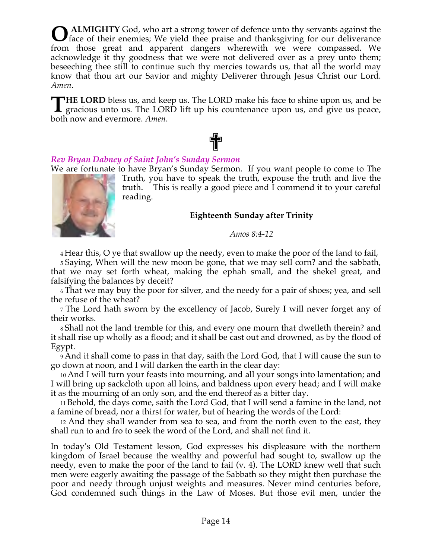**ALMIGHTY** God, who art a strong tower of defence unto thy servants against the **O** ALMIGHTY God, who art a strong tower of defence unto thy servants against the face of their enemies; We yield thee praise and thanksgiving for our deliverance from those great and apparent dangers wherewith we were compassed. We acknowledge it thy goodness that we were not delivered over as a prey unto them; beseeching thee still to continue such thy mercies towards us, that all the world may know that thou art our Savior and mighty Deliverer through Jesus Christ our Lord. *Amen*.

**HE LORD** bless us, and keep us. The LORD make his face to shine upon us, and be THE LORD bless us, and keep us. The LORD make his face to shine upon us, and be gracious unto us. The LORD lift up his countenance upon us, and give us peace, both now and evermore. *Amen*.

### *Rev Bryan Dabney of Saint John's Sunday Sermon*

We are fortunate to have Bryan's Sunday Sermon. If you want people to come to The

✟



Truth, you have to speak the truth, expouse the truth and live the truth. This is really a good piece and I commend it to your careful reading.

### **Eighteenth Sunday after Trinity**

#### *Amos 8:4-12*

4 Hear this, O ye that swallow up the needy, even to make the poor of the land to fail,

5 Saying, When will the new moon be gone, that we may sell corn? and the sabbath, that we may set forth wheat, making the ephah small, and the shekel great, and falsifying the balances by deceit?

6 That we may buy the poor for silver, and the needy for a pair of shoes; yea, and sell the refuse of the wheat?

7 The Lord hath sworn by the excellency of Jacob, Surely I will never forget any of their works.

8 Shall not the land tremble for this, and every one mourn that dwelleth therein? and it shall rise up wholly as a flood; and it shall be cast out and drowned, as by the flood of Egypt.

9 And it shall come to pass in that day, saith the Lord God, that I will cause the sun to go down at noon, and I will darken the earth in the clear day:

10 And I will turn your feasts into mourning, and all your songs into lamentation; and I will bring up sackcloth upon all loins, and baldness upon every head; and I will make it as the mourning of an only son, and the end thereof as a bitter day.

11 Behold, the days come, saith the Lord God, that I will send a famine in the land, not a famine of bread, nor a thirst for water, but of hearing the words of the Lord:

12 And they shall wander from sea to sea, and from the north even to the east, they shall run to and fro to seek the word of the Lord, and shall not find it.

In today's Old Testament lesson, God expresses his displeasure with the northern kingdom of Israel because the wealthy and powerful had sought to, swallow up the needy, even to make the poor of the land to fail (v. 4). The LORD knew well that such men were eagerly awaiting the passage of the Sabbath so they might then purchase the poor and needy through unjust weights and measures. Never mind centuries before, God condemned such things in the Law of Moses. But those evil men, under the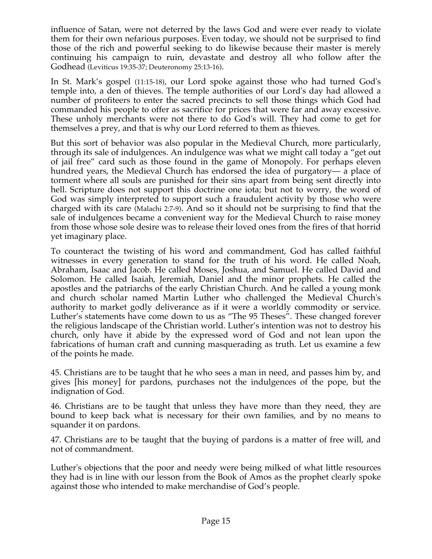influence of Satan, were not deterred by the laws God and were ever ready to violate them for their own nefarious purposes. Even today, we should not be surprised to find those of the rich and powerful seeking to do likewise because their master is merely continuing his campaign to ruin, devastate and destroy all who follow after the Godhead (Leviticus 19:35-37; Deuteronomy 25:13-16).

In St. Mark's gospel (11:15-18), our Lord spoke against those who had turned God's temple into, a den of thieves. The temple authorities of our Lord's day had allowed a number of profiteers to enter the sacred precincts to sell those things which God had commanded his people to offer as sacrifice for prices that were far and away excessive. These unholy merchants were not there to do God's will. They had come to get for themselves a prey, and that is why our Lord referred to them as thieves.

But this sort of behavior was also popular in the Medieval Church, more particularly, through its sale of indulgences. An indulgence was what we might call today a "get out of jail free" card such as those found in the game of Monopoly. For perhaps eleven hundred years, the Medieval Church has endorsed the idea of purgatory— a place of torment where all souls are punished for their sins apart from being sent directly into hell. Scripture does not support this doctrine one iota; but not to worry, the word of God was simply interpreted to support such a fraudulent activity by those who were charged with its care (Malachi 2:7-9). And so it should not be surprising to find that the sale of indulgences became a convenient way for the Medieval Church to raise money from those whose sole desire was to release their loved ones from the fires of that horrid yet imaginary place.

To counteract the twisting of his word and commandment, God has called faithful witnesses in every generation to stand for the truth of his word. He called Noah, Abraham, Isaac and Jacob. He called Moses, Joshua, and Samuel. He called David and Solomon. He called Isaiah, Jeremiah, Daniel and the minor prophets. He called the apostles and the patriarchs of the early Christian Church. And he called a young monk and church scholar named Martin Luther who challenged the Medieval Church's authority to market godly deliverance as if it were a worldly commodity or service. Luther's statements have come down to us as "The 95 Theses". These changed forever the religious landscape of the Christian world. Luther's intention was not to destroy his church, only have it abide by the expressed word of God and not lean upon the fabrications of human craft and cunning masquerading as truth. Let us examine a few of the points he made.

45. Christians are to be taught that he who sees a man in need, and passes him by, and gives [his money] for pardons, purchases not the indulgences of the pope, but the indignation of God.

46. Christians are to be taught that unless they have more than they need, they are bound to keep back what is necessary for their own families, and by no means to squander it on pardons.

47. Christians are to be taught that the buying of pardons is a matter of free will, and not of commandment.

Luther's objections that the poor and needy were being milked of what little resources they had is in line with our lesson from the Book of Amos as the prophet clearly spoke against those who intended to make merchandise of God's people.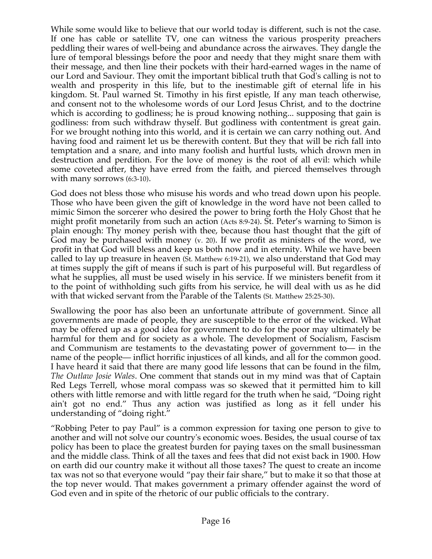While some would like to believe that our world today is different, such is not the case. If one has cable or satellite TV, one can witness the various prosperity preachers peddling their wares of well-being and abundance across the airwaves. They dangle the lure of temporal blessings before the poor and needy that they might snare them with their message, and then line their pockets with their hard-earned wages in the name of our Lord and Saviour. They omit the important biblical truth that God's calling is not to wealth and prosperity in this life, but to the inestimable gift of eternal life in his kingdom. St. Paul warned St. Timothy in his first epistle, If any man teach otherwise, and consent not to the wholesome words of our Lord Jesus Christ, and to the doctrine which is according to godliness; he is proud knowing nothing... supposing that gain is godliness: from such withdraw thyself. But godliness with contentment is great gain. For we brought nothing into this world, and it is certain we can carry nothing out. And having food and raiment let us be therewith content. But they that will be rich fall into temptation and a snare, and into many foolish and hurtful lusts, which drown men in destruction and perdition. For the love of money is the root of all evil: which while some coveted after, they have erred from the faith, and pierced themselves through with many sorrows (6:3-10).

God does not bless those who misuse his words and who tread down upon his people. Those who have been given the gift of knowledge in the word have not been called to mimic Simon the sorcerer who desired the power to bring forth the Holy Ghost that he might profit monetarily from such an action (Acts 8:9-24). St. Peter's warning to Simon is plain enough: Thy money perish with thee, because thou hast thought that the gift of God may be purchased with money (v. 20). If we profit as ministers of the word, we profit in that God will bless and keep us both now and in eternity. While we have been called to lay up treasure in heaven (St. Matthew 6:19-21), we also understand that God may at times supply the gift of means if such is part of his purposeful will. But regardless of what he supplies, all must be used wisely in his service. If we ministers benefit from it to the point of withholding such gifts from his service, he will deal with us as he did with that wicked servant from the Parable of the Talents (St. Matthew 25:25-30).

Swallowing the poor has also been an unfortunate attribute of government. Since all governments are made of people, they are susceptible to the error of the wicked. What may be offered up as a good idea for government to do for the poor may ultimately be harmful for them and for society as a whole. The development of Socialism, Fascism and Communism are testaments to the devastating power of government to— in the name of the people— inflict horrific injustices of all kinds, and all for the common good. I have heard it said that there are many good life lessons that can be found in the film, *The Outlaw Josie Wales*. One comment that stands out in my mind was that of Captain Red Legs Terrell, whose moral compass was so skewed that it permitted him to kill others with little remorse and with little regard for the truth when he said, "Doing right ain't got no end." Thus any action was justified as long as it fell under his understanding of "doing right."

"Robbing Peter to pay Paul" is a common expression for taxing one person to give to another and will not solve our country's economic woes. Besides, the usual course of tax policy has been to place the greatest burden for paying taxes on the small businessman and the middle class. Think of all the taxes and fees that did not exist back in 1900. How on earth did our country make it without all those taxes? The quest to create an income tax was not so that everyone would "pay their fair share," but to make it so that those at the top never would. That makes government a primary offender against the word of God even and in spite of the rhetoric of our public officials to the contrary.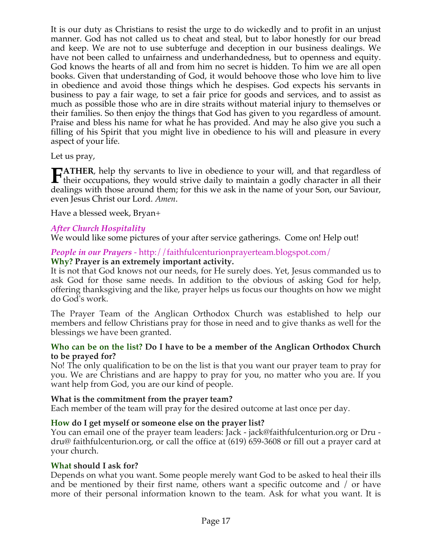It is our duty as Christians to resist the urge to do wickedly and to profit in an unjust manner. God has not called us to cheat and steal, but to labor honestly for our bread and keep. We are not to use subterfuge and deception in our business dealings. We have not been called to unfairness and underhandedness, but to openness and equity. God knows the hearts of all and from him no secret is hidden. To him we are all open books. Given that understanding of God, it would behoove those who love him to live in obedience and avoid those things which he despises. God expects his servants in business to pay a fair wage, to set a fair price for goods and services, and to assist as much as possible those who are in dire straits without material injury to themselves or their families. So then enjoy the things that God has given to you regardless of amount. Praise and bless his name for what he has provided. And may he also give you such a filling of his Spirit that you might live in obedience to his will and pleasure in every aspect of your life.

### Let us pray,

**TATHER**, help thy servants to live in obedience to your will, and that regardless of **their** occupations, they would strive daily to maintain a godly character in all their delines with the strive daily to maintain a godly character in all their dealings with those around them; for this we ask in the name of your Son, our Saviour, even Jesus Christ our Lord. *Amen*.

Have a blessed week, Bryan+

### *After Church Hospitality*

We would like some pictures of your after service gatherings. Come on! Help out!

### *People in our Prayers* - http://faithfulcenturionprayerteam.blogspot.com/

### **Why? Prayer is an extremely important activity.**

It is not that God knows not our needs, for He surely does. Yet, Jesus commanded us to ask God for those same needs. In addition to the obvious of asking God for help, offering thanksgiving and the like, prayer helps us focus our thoughts on how we might do God's work.

The Prayer Team of the Anglican Orthodox Church was established to help our members and fellow Christians pray for those in need and to give thanks as well for the blessings we have been granted.

### **Who can be on the list? Do I have to be a member of the Anglican Orthodox Church to be prayed for?**

No! The only qualification to be on the list is that you want our prayer team to pray for you. We are Christians and are happy to pray for you, no matter who you are. If you want help from God, you are our kind of people.

### **What is the commitment from the prayer team?**

Each member of the team will pray for the desired outcome at last once per day.

### **How do I get myself or someone else on the prayer list?**

You can email one of the prayer team leaders: Jack - jack@faithfulcenturion.org or Dru dru@ faithfulcenturion.org, or call the office at (619) 659-3608 or fill out a prayer card at your church.

### **What should I ask for?**

Depends on what you want. Some people merely want God to be asked to heal their ills and be mentioned by their first name, others want a specific outcome and / or have more of their personal information known to the team. Ask for what you want. It is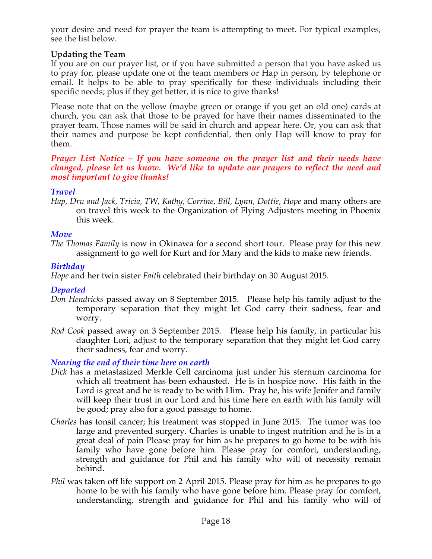your desire and need for prayer the team is attempting to meet. For typical examples, see the list below.

# **Updating the Team**

If you are on our prayer list, or if you have submitted a person that you have asked us to pray for, please update one of the team members or Hap in person, by telephone or email. It helps to be able to pray specifically for these individuals including their specific needs; plus if they get better, it is nice to give thanks!

Please note that on the yellow (maybe green or orange if you get an old one) cards at church, you can ask that those to be prayed for have their names disseminated to the prayer team. Those names will be said in church and appear here. Or, you can ask that their names and purpose be kept confidential, then only Hap will know to pray for them.

*Prayer List Notice – If you have someone on the prayer list and their needs have changed, please let us know. We'd like to update our prayers to reflect the need and most important to give thanks!*

# *Travel*

*Hap, Dru and Jack, Tricia, TW, Kathy, Corrine, Bill, Lynn, Dottie, Hope* and many others are on travel this week to the Organization of Flying Adjusters meeting in Phoenix this week.

### *Move*

*The Thomas Family* is now in Okinawa for a second short tour. Please pray for this new assignment to go well for Kurt and for Mary and the kids to make new friends.

# *Birthday*

*Hope* and her twin sister *Faith* celebrated their birthday on 30 August 2015.

### *Departed*

- *Don Hendricks* passed away on 8 September 2015. Please help his family adjust to the temporary separation that they might let God carry their sadness, fear and worry.
- *Rod Cook* passed away on 3 September 2015. Please help his family, in particular his daughter Lori, adjust to the temporary separation that they might let God carry their sadness, fear and worry.

# *Nearing the end of their time here on earth*

- *Dick* has a metastasized Merkle Cell carcinoma just under his sternum carcinoma for which all treatment has been exhausted. He is in hospice now. His faith in the Lord is great and he is ready to be with Him. Pray he, his wife Jenifer and family will keep their trust in our Lord and his time here on earth with his family will be good; pray also for a good passage to home.
- *Charles* has tonsil cancer; his treatment was stopped in June 2015. The tumor was too large and prevented surgery. Charles is unable to ingest nutrition and he is in a great deal of pain Please pray for him as he prepares to go home to be with his family who have gone before him. Please pray for comfort, understanding, strength and guidance for Phil and his family who will of necessity remain behind.
- *Phil* was taken off life support on 2 April 2015. Please pray for him as he prepares to go home to be with his family who have gone before him. Please pray for comfort, understanding, strength and guidance for Phil and his family who will of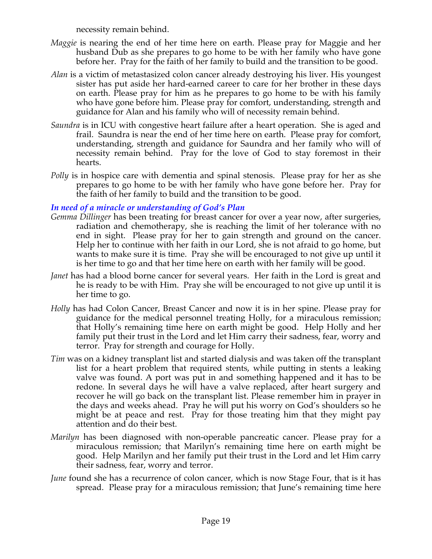necessity remain behind.

- *Maggie* is nearing the end of her time here on earth. Please pray for Maggie and her husband Dub as she prepares to go home to be with her family who have gone before her. Pray for the faith of her family to build and the transition to be good.
- *Alan* is a victim of metastasized colon cancer already destroying his liver. His youngest sister has put aside her hard-earned career to care for her brother in these days on earth. Please pray for him as he prepares to go home to be with his family who have gone before him. Please pray for comfort, understanding, strength and guidance for Alan and his family who will of necessity remain behind.
- *Saundra* is in ICU with congestive heart failure after a heart operation. She is aged and frail. Saundra is near the end of her time here on earth. Please pray for comfort, understanding, strength and guidance for Saundra and her family who will of necessity remain behind. Pray for the love of God to stay foremost in their hearts.
- *Polly* is in hospice care with dementia and spinal stenosis. Please pray for her as she prepares to go home to be with her family who have gone before her. Pray for the faith of her family to build and the transition to be good.

### *In need of a miracle or understanding of God's Plan*

- *Gemma Dillinger* has been treating for breast cancer for over a year now, after surgeries, radiation and chemotherapy, she is reaching the limit of her tolerance with no end in sight. Please pray for her to gain strength and ground on the cancer. Help her to continue with her faith in our Lord, she is not afraid to go home, but wants to make sure it is time. Pray she will be encouraged to not give up until it is her time to go and that her time here on earth with her family will be good.
- *Janet* has had a blood borne cancer for several years. Her faith in the Lord is great and he is ready to be with Him. Pray she will be encouraged to not give up until it is her time to go.
- *Holly* has had Colon Cancer, Breast Cancer and now it is in her spine. Please pray for guidance for the medical personnel treating Holly, for a miraculous remission; that Holly's remaining time here on earth might be good. Help Holly and her family put their trust in the Lord and let Him carry their sadness, fear, worry and terror. Pray for strength and courage for Holly.
- *Tim* was on a kidney transplant list and started dialysis and was taken off the transplant list for a heart problem that required stents, while putting in stents a leaking valve was found. A port was put in and something happened and it has to be redone. In several days he will have a valve replaced, after heart surgery and recover he will go back on the transplant list. Please remember him in prayer in the days and weeks ahead. Pray he will put his worry on God's shoulders so he might be at peace and rest. Pray for those treating him that they might pay attention and do their best.
- *Marilyn* has been diagnosed with non-operable pancreatic cancer. Please pray for a miraculous remission; that Marilyn's remaining time here on earth might be good. Help Marilyn and her family put their trust in the Lord and let Him carry their sadness, fear, worry and terror.
- *June* found she has a recurrence of colon cancer, which is now Stage Four, that is it has spread. Please pray for a miraculous remission; that June's remaining time here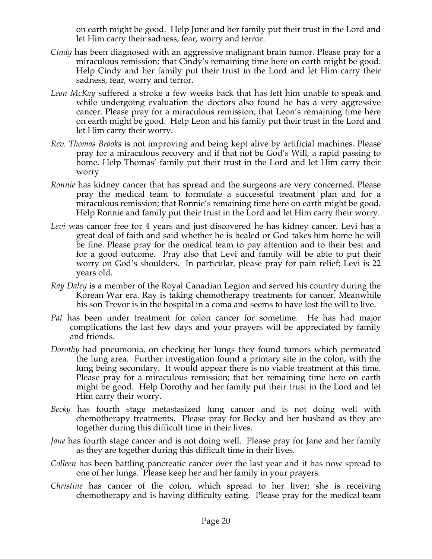on earth might be good. Help June and her family put their trust in the Lord and let Him carry their sadness, fear, worry and terror.

- *Cindy* has been diagnosed with an aggressive malignant brain tumor. Please pray for a miraculous remission; that Cindy's remaining time here on earth might be good. Help Cindy and her family put their trust in the Lord and let Him carry their sadness, fear, worry and terror.
- *Leon McKay* suffered a stroke a few weeks back that has left him unable to speak and while undergoing evaluation the doctors also found he has a very aggressive cancer. Please pray for a miraculous remission; that Leon's remaining time here on earth might be good. Help Leon and his family put their trust in the Lord and let Him carry their worry.
- *Rev. Thomas Brooks* is not improving and being kept alive by artificial machines. Please pray for a miraculous recovery and if that not be God's Will, a rapid passing to home. Help Thomas' family put their trust in the Lord and let Him carry their worry
- *Ronnie* has kidney cancer that has spread and the surgeons are very concerned. Please pray the medical team to formulate a successful treatment plan and for a miraculous remission; that Ronnie's remaining time here on earth might be good. Help Ronnie and family put their trust in the Lord and let Him carry their worry.
- Levi was cancer free for 4 years and just discovered he has kidney cancer. Levi has a great deal of faith and said whether he is healed or God takes him home he will be fine. Please pray for the medical team to pay attention and to their best and for a good outcome. Pray also that Levi and family will be able to put their worry on God's shoulders. In particular, please pray for pain relief; Levi is 22 years old.
- *Ray Daley* is a member of the Royal Canadian Legion and served his country during the Korean War era. Ray is taking chemotherapy treatments for cancer. Meanwhile his son Trevor is in the hospital in a coma and seems to have lost the will to live.
- *Pat* has been under treatment for colon cancer for sometime. He has had major complications the last few days and your prayers will be appreciated by family and friends.
- *Dorothy* had pneumonia, on checking her lungs they found tumors which permeated the lung area. Further investigation found a primary site in the colon, with the lung being secondary. It would appear there is no viable treatment at this time. Please pray for a miraculous remission; that her remaining time here on earth might be good. Help Dorothy and her family put their trust in the Lord and let Him carry their worry.
- *Becky* has fourth stage metastasized lung cancer and is not doing well with chemotherapy treatments. Please pray for Becky and her husband as they are together during this difficult time in their lives.
- *Jane* has fourth stage cancer and is not doing well. Please pray for Jane and her family as they are together during this difficult time in their lives.
- *Colleen* has been battling pancreatic cancer over the last year and it has now spread to one of her lungs. Please keep her and her family in your prayers.
- *Christine* has cancer of the colon, which spread to her liver; she is receiving chemotherapy and is having difficulty eating. Please pray for the medical team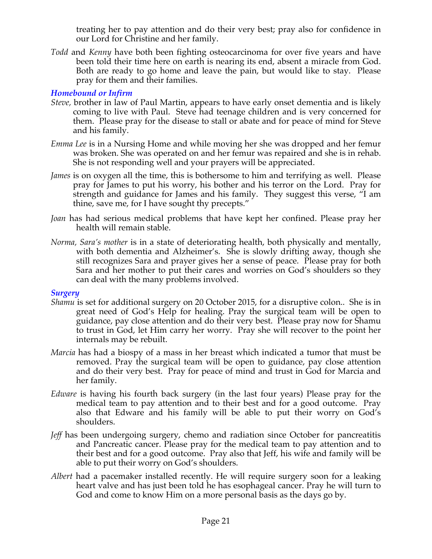treating her to pay attention and do their very best; pray also for confidence in our Lord for Christine and her family.

*Todd* and *Kenny* have both been fighting osteocarcinoma for over five years and have been told their time here on earth is nearing its end, absent a miracle from God. Both are ready to go home and leave the pain, but would like to stay. Please pray for them and their families.

### *Homebound or Infirm*

- *Steve,* brother in law of Paul Martin, appears to have early onset dementia and is likely coming to live with Paul. Steve had teenage children and is very concerned for them. Please pray for the disease to stall or abate and for peace of mind for Steve and his family.
- *Emma Lee* is in a Nursing Home and while moving her she was dropped and her femur was broken. She was operated on and her femur was repaired and she is in rehab. She is not responding well and your prayers will be appreciated.
- *James* is on oxygen all the time, this is bothersome to him and terrifying as well. Please pray for James to put his worry, his bother and his terror on the Lord. Pray for strength and guidance for James and his family. They suggest this verse, "I am thine, save me, for I have sought thy precepts."
- *Joan* has had serious medical problems that have kept her confined. Please pray her health will remain stable.
- *Norma, Sara's mother* is in a state of deteriorating health, both physically and mentally, with both dementia and Alzheimer's. She is slowly drifting away, though she still recognizes Sara and prayer gives her a sense of peace. Please pray for both Sara and her mother to put their cares and worries on God's shoulders so they can deal with the many problems involved.

### *Surgery*

- *Shamu* is set for additional surgery on 20 October 2015, for a disruptive colon.. She is in great need of God's Help for healing. Pray the surgical team will be open to guidance, pay close attention and do their very best. Please pray now for Shamu to trust in God, let Him carry her worry. Pray she will recover to the point her internals may be rebuilt.
- *Marcia* has had a biospy of a mass in her breast which indicated a tumor that must be removed. Pray the surgical team will be open to guidance, pay close attention and do their very best. Pray for peace of mind and trust in God for Marcia and her family.
- *Edware* is having his fourth back surgery (in the last four years) Please pray for the medical team to pay attention and to their best and for a good outcome. Pray also that Edware and his family will be able to put their worry on God's shoulders.
- *Jeff* has been undergoing surgery, chemo and radiation since October for pancreatitis and Pancreatic cancer. Please pray for the medical team to pay attention and to their best and for a good outcome. Pray also that Jeff, his wife and family will be able to put their worry on God's shoulders.
- *Albert* had a pacemaker installed recently. He will require surgery soon for a leaking heart valve and has just been told he has esophageal cancer. Pray he will turn to God and come to know Him on a more personal basis as the days go by.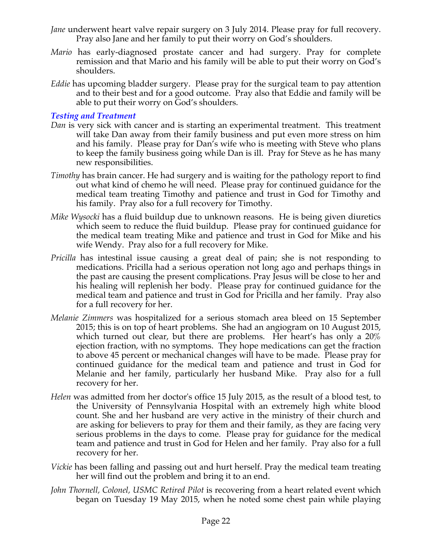- *Jane* underwent heart valve repair surgery on 3 July 2014. Please pray for full recovery. Pray also Jane and her family to put their worry on God's shoulders.
- *Mario* has early-diagnosed prostate cancer and had surgery. Pray for complete remission and that Mario and his family will be able to put their worry on God's shoulders.
- *Eddie* has upcoming bladder surgery. Please pray for the surgical team to pay attention and to their best and for a good outcome. Pray also that Eddie and family will be able to put their worry on God's shoulders.

### *Testing and Treatment*

- *Dan* is very sick with cancer and is starting an experimental treatment. This treatment will take Dan away from their family business and put even more stress on him and his family. Please pray for Dan's wife who is meeting with Steve who plans to keep the family business going while Dan is ill. Pray for Steve as he has many new responsibilities.
- *Timothy* has brain cancer. He had surgery and is waiting for the pathology report to find out what kind of chemo he will need. Please pray for continued guidance for the medical team treating Timothy and patience and trust in God for Timothy and his family. Pray also for a full recovery for Timothy.
- *Mike Wysocki* has a fluid buildup due to unknown reasons. He is being given diuretics which seem to reduce the fluid buildup. Please pray for continued guidance for the medical team treating Mike and patience and trust in God for Mike and his wife Wendy. Pray also for a full recovery for Mike.
- *Pricilla* has intestinal issue causing a great deal of pain; she is not responding to medications. Pricilla had a serious operation not long ago and perhaps things in the past are causing the present complications. Pray Jesus will be close to her and his healing will replenish her body. Please pray for continued guidance for the medical team and patience and trust in God for Pricilla and her family. Pray also for a full recovery for her.
- *Melanie Zimmers* was hospitalized for a serious stomach area bleed on 15 September 2015; this is on top of heart problems. She had an angiogram on 10 August 2015, which turned out clear, but there are problems. Her heart's has only a 20% ejection fraction, with no symptoms. They hope medications can get the fraction to above 45 percent or mechanical changes will have to be made. Please pray for continued guidance for the medical team and patience and trust in God for Melanie and her family, particularly her husband Mike. Pray also for a full recovery for her.
- *Helen* was admitted from her doctor's office 15 July 2015, as the result of a blood test, to the University of Pennsylvania Hospital with an extremely high white blood count. She and her husband are very active in the ministry of their church and are asking for believers to pray for them and their family, as they are facing very serious problems in the days to come. Please pray for guidance for the medical team and patience and trust in God for Helen and her family. Pray also for a full recovery for her.
- *Vickie* has been falling and passing out and hurt herself. Pray the medical team treating her will find out the problem and bring it to an end.
- *John Thornell, Colonel, USMC Retired Pilot* is recovering from a heart related event which began on Tuesday 19 May 2015, when he noted some chest pain while playing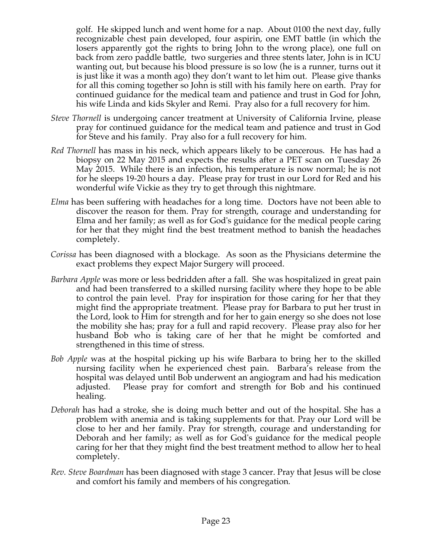golf. He skipped lunch and went home for a nap. About 0100 the next day, fully recognizable chest pain developed, four aspirin, one EMT battle (in which the losers apparently got the rights to bring John to the wrong place), one full on back from zero paddle battle, two surgeries and three stents later, John is in ICU wanting out, but because his blood pressure is so low (he is a runner, turns out it is just like it was a month ago) they don't want to let him out. Please give thanks for all this coming together so John is still with his family here on earth. Pray for continued guidance for the medical team and patience and trust in God for John, his wife Linda and kids Skyler and Remi. Pray also for a full recovery for him.

- *Steve Thornell* is undergoing cancer treatment at University of California Irvine, please pray for continued guidance for the medical team and patience and trust in God for Steve and his family. Pray also for a full recovery for him.
- *Red Thornell* has mass in his neck, which appears likely to be cancerous. He has had a biopsy on 22 May 2015 and expects the results after a PET scan on Tuesday 26 May 2015. While there is an infection, his temperature is now normal; he is not for he sleeps 19-20 hours a day. Please pray for trust in our Lord for Red and his wonderful wife Vickie as they try to get through this nightmare.
- *Elma* has been suffering with headaches for a long time. Doctors have not been able to discover the reason for them. Pray for strength, courage and understanding for Elma and her family; as well as for God's guidance for the medical people caring for her that they might find the best treatment method to banish the headaches completely.
- *Corissa* has been diagnosed with a blockage. As soon as the Physicians determine the exact problems they expect Major Surgery will proceed.
- *Barbara Apple* was more or less bedridden after a fall. She was hospitalized in great pain and had been transferred to a skilled nursing facility where they hope to be able to control the pain level. Pray for inspiration for those caring for her that they might find the appropriate treatment. Please pray for Barbara to put her trust in the Lord, look to Him for strength and for her to gain energy so she does not lose the mobility she has; pray for a full and rapid recovery. Please pray also for her husband Bob who is taking care of her that he might be comforted and strengthened in this time of stress.
- *Bob Apple* was at the hospital picking up his wife Barbara to bring her to the skilled nursing facility when he experienced chest pain. Barbara's release from the hospital was delayed until Bob underwent an angiogram and had his medication adjusted. Please pray for comfort and strength for Bob and his continued healing.
- *Deborah* has had a stroke, she is doing much better and out of the hospital. She has a problem with anemia and is taking supplements for that. Pray our Lord will be close to her and her family. Pray for strength, courage and understanding for Deborah and her family; as well as for God's guidance for the medical people caring for her that they might find the best treatment method to allow her to heal completely.
- *Rev. Steve Boardman* has been diagnosed with stage 3 cancer. Pray that Jesus will be close and comfort his family and members of his congregation*.*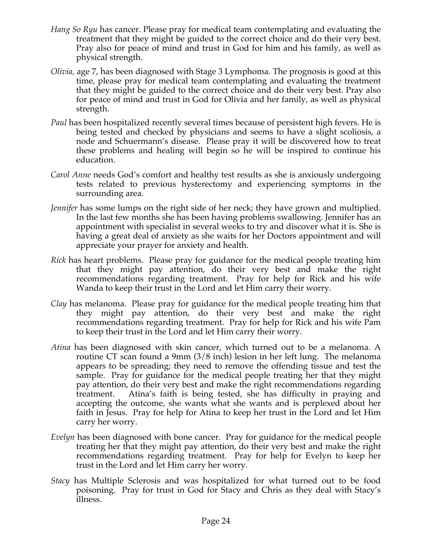- *Hang So Ryu* has cancer. Please pray for medical team contemplating and evaluating the treatment that they might be guided to the correct choice and do their very best. Pray also for peace of mind and trust in God for him and his family, as well as physical strength.
- *Olivia,* age 7, has been diagnosed with Stage 3 Lymphoma. The prognosis is good at this time, please pray for medical team contemplating and evaluating the treatment that they might be guided to the correct choice and do their very best. Pray also for peace of mind and trust in God for Olivia and her family, as well as physical strength.
- *Paul* has been hospitalized recently several times because of persistent high fevers. He is being tested and checked by physicians and seems to have a slight scoliosis, a node and Schuermann's disease. Please pray it will be discovered how to treat these problems and healing will begin so he will be inspired to continue his education.
- *Carol Anne* needs God's comfort and healthy test results as she is anxiously undergoing tests related to previous hysterectomy and experiencing symptoms in the surrounding area.
- *Jennifer* has some lumps on the right side of her neck; they have grown and multiplied. In the last few months she has been having problems swallowing. Jennifer has an appointment with specialist in several weeks to try and discover what it is. She is having a great deal of anxiety as she waits for her Doctors appointment and will appreciate your prayer for anxiety and health.
- *Rick* has heart problems. Please pray for guidance for the medical people treating him that they might pay attention, do their very best and make the right recommendations regarding treatment. Pray for help for Rick and his wife Wanda to keep their trust in the Lord and let Him carry their worry.
- *Clay* has melanoma. Please pray for guidance for the medical people treating him that they might pay attention, do their very best and make the right recommendations regarding treatment. Pray for help for Rick and his wife Pam to keep their trust in the Lord and let Him carry their worry.
- *Atina* has been diagnosed with skin cancer, which turned out to be a melanoma. A routine CT scan found a 9mm (3/8 inch) lesion in her left lung. The melanoma appears to be spreading; they need to remove the offending tissue and test the sample. Pray for guidance for the medical people treating her that they might pay attention, do their very best and make the right recommendations regarding treatment. Atina's faith is being tested, she has difficulty in praying and accepting the outcome, she wants what she wants and is perplexed about her faith in Jesus. Pray for help for Atina to keep her trust in the Lord and let Him carry her worry.
- *Evelyn* has been diagnosed with bone cancer. Pray for guidance for the medical people treating her that they might pay attention, do their very best and make the right recommendations regarding treatment. Pray for help for Evelyn to keep her trust in the Lord and let Him carry her worry.
- *Stacy* has Multiple Sclerosis and was hospitalized for what turned out to be food poisoning. Pray for trust in God for Stacy and Chris as they deal with Stacy's illness.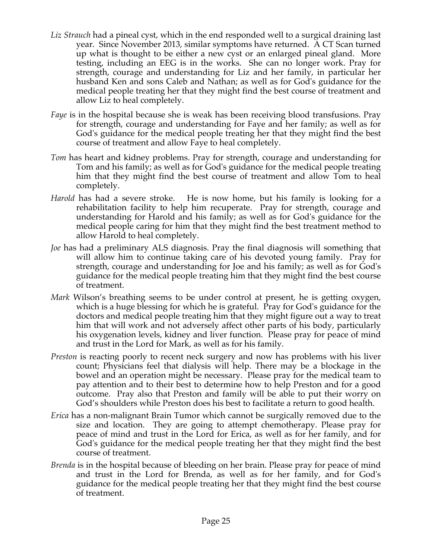- *Liz Strauch* had a pineal cyst, which in the end responded well to a surgical draining last year. Since November 2013, similar symptoms have returned. A CT Scan turned up what is thought to be either a new cyst or an enlarged pineal gland. More testing, including an EEG is in the works. She can no longer work. Pray for strength, courage and understanding for Liz and her family, in particular her husband Ken and sons Caleb and Nathan; as well as for God's guidance for the medical people treating her that they might find the best course of treatment and allow Liz to heal completely.
- *Faye* is in the hospital because she is weak has been receiving blood transfusions. Pray for strength, courage and understanding for Faye and her family; as well as for God's guidance for the medical people treating her that they might find the best course of treatment and allow Faye to heal completely.
- *Tom* has heart and kidney problems. Pray for strength, courage and understanding for Tom and his family; as well as for God's guidance for the medical people treating him that they might find the best course of treatment and allow Tom to heal completely.
- *Harold* has had a severe stroke. He is now home, but his family is looking for a rehabilitation facility to help him recuperate. Pray for strength, courage and understanding for Harold and his family; as well as for God's guidance for the medical people caring for him that they might find the best treatment method to allow Harold to heal completely.
- *Joe* has had a preliminary ALS diagnosis. Pray the final diagnosis will something that will allow him to continue taking care of his devoted young family. Pray for strength, courage and understanding for Joe and his family; as well as for God's guidance for the medical people treating him that they might find the best course of treatment.
- *Mark* Wilson's breathing seems to be under control at present, he is getting oxygen, which is a huge blessing for which he is grateful. Pray for God's guidance for the doctors and medical people treating him that they might figure out a way to treat him that will work and not adversely affect other parts of his body, particularly his oxygenation levels, kidney and liver function. Please pray for peace of mind and trust in the Lord for Mark, as well as for his family.
- *Preston* is reacting poorly to recent neck surgery and now has problems with his liver count; Physicians feel that dialysis will help. There may be a blockage in the bowel and an operation might be necessary. Please pray for the medical team to pay attention and to their best to determine how to help Preston and for a good outcome. Pray also that Preston and family will be able to put their worry on God's shoulders while Preston does his best to facilitate a return to good health.
- *Erica* has a non-malignant Brain Tumor which cannot be surgically removed due to the size and location. They are going to attempt chemotherapy. Please pray for peace of mind and trust in the Lord for Erica, as well as for her family, and for God's guidance for the medical people treating her that they might find the best course of treatment.
- *Brenda* is in the hospital because of bleeding on her brain. Please pray for peace of mind and trust in the Lord for Brenda, as well as for her family, and for God's guidance for the medical people treating her that they might find the best course of treatment.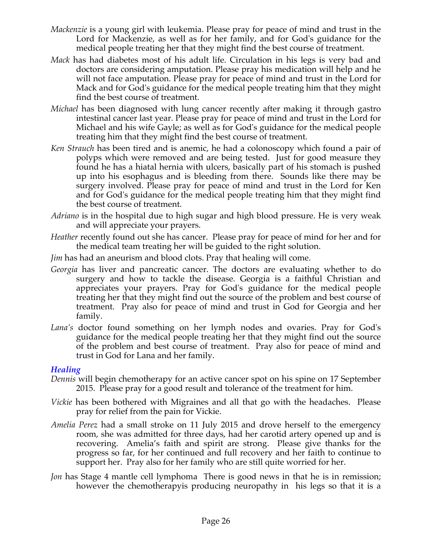- *Mackenzie* is a young girl with leukemia. Please pray for peace of mind and trust in the Lord for Mackenzie, as well as for her family, and for God's guidance for the medical people treating her that they might find the best course of treatment.
- *Mack* has had diabetes most of his adult life. Circulation in his legs is very bad and doctors are considering amputation. Please pray his medication will help and he will not face amputation. Please pray for peace of mind and trust in the Lord for Mack and for God's guidance for the medical people treating him that they might find the best course of treatment.
- *Michael* has been diagnosed with lung cancer recently after making it through gastro intestinal cancer last year. Please pray for peace of mind and trust in the Lord for Michael and his wife Gayle; as well as for God's guidance for the medical people treating him that they might find the best course of treatment.
- *Ken Strauch* has been tired and is anemic, he had a colonoscopy which found a pair of polyps which were removed and are being tested. Just for good measure they found he has a hiatal hernia with ulcers, basically part of his stomach is pushed up into his esophagus and is bleeding from there. Sounds like there may be surgery involved. Please pray for peace of mind and trust in the Lord for Ken and for God's guidance for the medical people treating him that they might find the best course of treatment.
- *Adriano* is in the hospital due to high sugar and high blood pressure. He is very weak and will appreciate your prayers.
- *Heather* recently found out she has cancer. Please pray for peace of mind for her and for the medical team treating her will be guided to the right solution.
- *Jim* has had an aneurism and blood clots. Pray that healing will come.
- *Georgia* has liver and pancreatic cancer. The doctors are evaluating whether to do surgery and how to tackle the disease. Georgia is a faithful Christian and appreciates your prayers. Pray for God's guidance for the medical people treating her that they might find out the source of the problem and best course of treatment. Pray also for peace of mind and trust in God for Georgia and her family.
- *Lana's* doctor found something on her lymph nodes and ovaries. Pray for God's guidance for the medical people treating her that they might find out the source of the problem and best course of treatment. Pray also for peace of mind and trust in God for Lana and her family.

### *Healing*

- *Dennis* will begin chemotherapy for an active cancer spot on his spine on 17 September 2015. Please pray for a good result and tolerance of the treatment for him.
- *Vickie* has been bothered with Migraines and all that go with the headaches. Please pray for relief from the pain for Vickie.
- *Amelia Perez* had a small stroke on 11 July 2015 and drove herself to the emergency room, she was admitted for three days, had her carotid artery opened up and is recovering. Amelia's faith and spirit are strong. Please give thanks for the progress so far, for her continued and full recovery and her faith to continue to support her. Pray also for her family who are still quite worried for her.
- *Jon* has Stage 4 mantle cell lymphoma There is good news in that he is in remission; however the chemotherapyis producing neuropathy in his legs so that it is a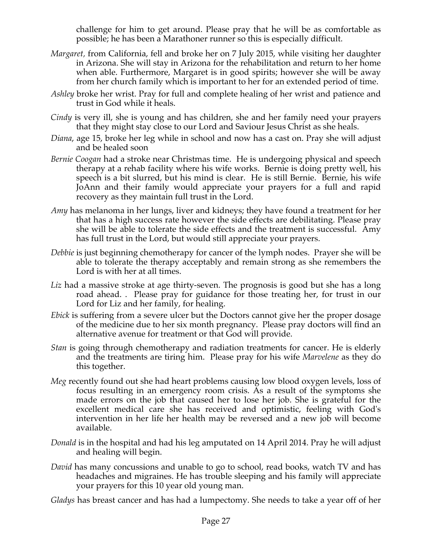challenge for him to get around. Please pray that he will be as comfortable as possible; he has been a Marathoner runner so this is especially difficult.

- *Margaret,* from California, fell and broke her on 7 July 2015, while visiting her daughter in Arizona. She will stay in Arizona for the rehabilitation and return to her home when able. Furthermore, Margaret is in good spirits; however she will be away from her church family which is important to her for an extended period of time.
- *Ashley* broke her wrist. Pray for full and complete healing of her wrist and patience and trust in God while it heals.
- *Cindy* is very ill, she is young and has children, she and her family need your prayers that they might stay close to our Lord and Saviour Jesus Christ as she heals.
- *Diana*, age 15, broke her leg while in school and now has a cast on. Pray she will adjust and be healed soon
- *Bernie Coogan* had a stroke near Christmas time. He is undergoing physical and speech therapy at a rehab facility where his wife works. Bernie is doing pretty well, his speech is a bit slurred, but his mind is clear. He is still Bernie. Bernie, his wife JoAnn and their family would appreciate your prayers for a full and rapid recovery as they maintain full trust in the Lord.
- *Amy* has melanoma in her lungs, liver and kidneys; they have found a treatment for her that has a high success rate however the side effects are debilitating. Please pray she will be able to tolerate the side effects and the treatment is successful. Amy has full trust in the Lord, but would still appreciate your prayers.
- *Debbie* is just beginning chemotherapy for cancer of the lymph nodes. Prayer she will be able to tolerate the therapy acceptably and remain strong as she remembers the Lord is with her at all times.
- Liz had a massive stroke at age thirty-seven. The prognosis is good but she has a long road ahead. . Please pray for guidance for those treating her, for trust in our Lord for Liz and her family, for healing.
- *Ebick* is suffering from a severe ulcer but the Doctors cannot give her the proper dosage of the medicine due to her six month pregnancy. Please pray doctors will find an alternative avenue for treatment or that God will provide.
- *Stan* is going through chemotherapy and radiation treatments for cancer. He is elderly and the treatments are tiring him. Please pray for his wife *Marvelene* as they do this together.
- *Meg* recently found out she had heart problems causing low blood oxygen levels, loss of focus resulting in an emergency room crisis. As a result of the symptoms she made errors on the job that caused her to lose her job. She is grateful for the excellent medical care she has received and optimistic, feeling with God's intervention in her life her health may be reversed and a new job will become available.
- *Donald* is in the hospital and had his leg amputated on 14 April 2014. Pray he will adjust and healing will begin.
- *David* has many concussions and unable to go to school, read books, watch TV and has headaches and migraines. He has trouble sleeping and his family will appreciate your prayers for this 10 year old young man.

*Gladys* has breast cancer and has had a lumpectomy. She needs to take a year off of her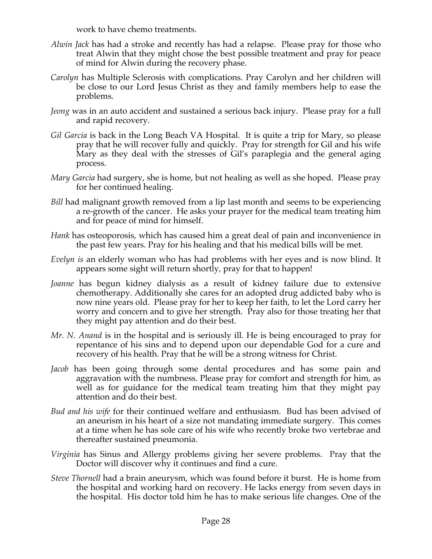work to have chemo treatments.

- *Alwin Jack* has had a stroke and recently has had a relapse. Please pray for those who treat Alwin that they might chose the best possible treatment and pray for peace of mind for Alwin during the recovery phase.
- *Carolyn* has Multiple Sclerosis with complications. Pray Carolyn and her children will be close to our Lord Jesus Christ as they and family members help to ease the problems.
- *Jeong* was in an auto accident and sustained a serious back injury. Please pray for a full and rapid recovery.
- *Gil Garcia* is back in the Long Beach VA Hospital. It is quite a trip for Mary, so please pray that he will recover fully and quickly. Pray for strength for Gil and his wife Mary as they deal with the stresses of Gil's paraplegia and the general aging process.
- *Mary Garcia* had surgery, she is home, but not healing as well as she hoped. Please pray for her continued healing.
- *Bill* had malignant growth removed from a lip last month and seems to be experiencing a re-growth of the cancer. He asks your prayer for the medical team treating him and for peace of mind for himself.
- *Hank* has osteoporosis, which has caused him a great deal of pain and inconvenience in the past few years. Pray for his healing and that his medical bills will be met.
- *Evelyn is* an elderly woman who has had problems with her eyes and is now blind. It appears some sight will return shortly, pray for that to happen!
- *Joanne* has begun kidney dialysis as a result of kidney failure due to extensive chemotherapy. Additionally she cares for an adopted drug addicted baby who is now nine years old. Please pray for her to keep her faith, to let the Lord carry her worry and concern and to give her strength. Pray also for those treating her that they might pay attention and do their best.
- *Mr. N. Anand* is in the hospital and is seriously ill. He is being encouraged to pray for repentance of his sins and to depend upon our dependable God for a cure and recovery of his health. Pray that he will be a strong witness for Christ.
- *Jacob* has been going through some dental procedures and has some pain and aggravation with the numbness. Please pray for comfort and strength for him, as well as for guidance for the medical team treating him that they might pay attention and do their best.
- *Bud and his wife* for their continued welfare and enthusiasm. Bud has been advised of an aneurism in his heart of a size not mandating immediate surgery. This comes at a time when he has sole care of his wife who recently broke two vertebrae and thereafter sustained pneumonia.
- *Virginia* has Sinus and Allergy problems giving her severe problems. Pray that the Doctor will discover why it continues and find a cure.
- *Steve Thornell* had a brain aneurysm, which was found before it burst. He is home from the hospital and working hard on recovery. He lacks energy from seven days in the hospital. His doctor told him he has to make serious life changes. One of the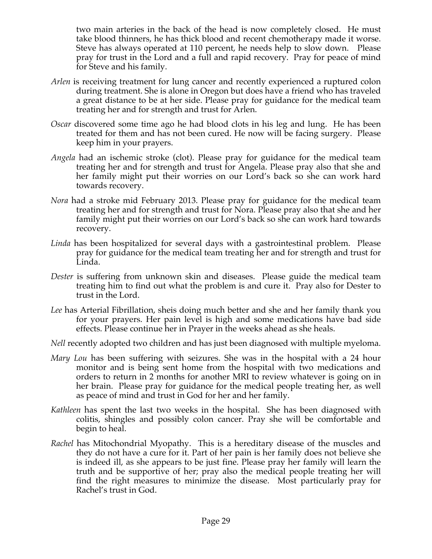two main arteries in the back of the head is now completely closed. He must take blood thinners, he has thick blood and recent chemotherapy made it worse. Steve has always operated at 110 percent, he needs help to slow down. Please pray for trust in the Lord and a full and rapid recovery. Pray for peace of mind for Steve and his family.

- *Arlen* is receiving treatment for lung cancer and recently experienced a ruptured colon during treatment. She is alone in Oregon but does have a friend who has traveled a great distance to be at her side. Please pray for guidance for the medical team treating her and for strength and trust for Arlen.
- *Oscar* discovered some time ago he had blood clots in his leg and lung. He has been treated for them and has not been cured. He now will be facing surgery. Please keep him in your prayers.
- *Angela* had an ischemic stroke (clot). Please pray for guidance for the medical team treating her and for strength and trust for Angela. Please pray also that she and her family might put their worries on our Lord's back so she can work hard towards recovery.
- *Nora* had a stroke mid February 2013. Please pray for guidance for the medical team treating her and for strength and trust for Nora. Please pray also that she and her family might put their worries on our Lord's back so she can work hard towards recovery.
- *Linda* has been hospitalized for several days with a gastrointestinal problem. Please pray for guidance for the medical team treating her and for strength and trust for Linda.
- *Dester* is suffering from unknown skin and diseases. Please guide the medical team treating him to find out what the problem is and cure it. Pray also for Dester to trust in the Lord.
- *Lee* has Arterial Fibrillation, sheis doing much better and she and her family thank you for your prayers. Her pain level is high and some medications have bad side effects. Please continue her in Prayer in the weeks ahead as she heals.
- *Nell* recently adopted two children and has just been diagnosed with multiple myeloma.
- *Mary Lou* has been suffering with seizures. She was in the hospital with a 24 hour monitor and is being sent home from the hospital with two medications and orders to return in 2 months for another MRI to review whatever is going on in her brain. Please pray for guidance for the medical people treating her, as well as peace of mind and trust in God for her and her family.
- *Kathleen* has spent the last two weeks in the hospital. She has been diagnosed with colitis, shingles and possibly colon cancer. Pray she will be comfortable and begin to heal.
- *Rachel* has Mitochondrial Myopathy. This is a hereditary disease of the muscles and they do not have a cure for it. Part of her pain is her family does not believe she is indeed ill, as she appears to be just fine. Please pray her family will learn the truth and be supportive of her; pray also the medical people treating her will find the right measures to minimize the disease. Most particularly pray for Rachel's trust in God.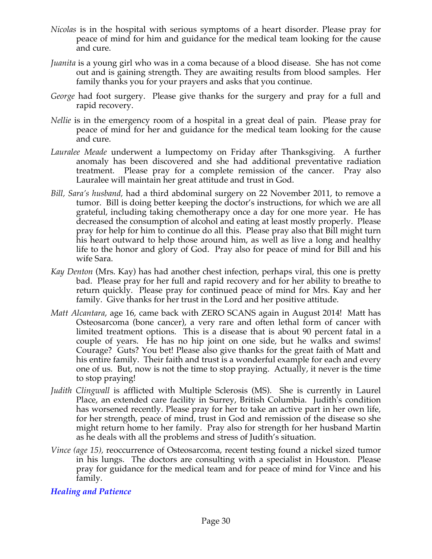- *Nicolas* is in the hospital with serious symptoms of a heart disorder. Please pray for peace of mind for him and guidance for the medical team looking for the cause and cure.
- *Juanita* is a young girl who was in a coma because of a blood disease. She has not come out and is gaining strength. They are awaiting results from blood samples. Her family thanks you for your prayers and asks that you continue.
- *George* had foot surgery. Please give thanks for the surgery and pray for a full and rapid recovery.
- *Nellie* is in the emergency room of a hospital in a great deal of pain. Please pray for peace of mind for her and guidance for the medical team looking for the cause and cure.
- *Lauralee Meade* underwent a lumpectomy on Friday after Thanksgiving. A further anomaly has been discovered and she had additional preventative radiation treatment. Please pray for a complete remission of the cancer. Pray also Lauralee will maintain her great attitude and trust in God.
- *Bill, Sara's husband,* had a third abdominal surgery on 22 November 2011, to remove a tumor. Bill is doing better keeping the doctor's instructions, for which we are all grateful, including taking chemotherapy once a day for one more year. He has decreased the consumption of alcohol and eating at least mostly properly. Please pray for help for him to continue do all this. Please pray also that Bill might turn his heart outward to help those around him, as well as live a long and healthy life to the honor and glory of God. Pray also for peace of mind for Bill and his wife Sara.
- *Kay Denton* (Mrs. Kay) has had another chest infection, perhaps viral, this one is pretty bad. Please pray for her full and rapid recovery and for her ability to breathe to return quickly. Please pray for continued peace of mind for Mrs. Kay and her family. Give thanks for her trust in the Lord and her positive attitude.
- *Matt Alcantara*, age 16, came back with ZERO SCANS again in August 2014! Matt has Osteosarcoma (bone cancer), a very rare and often lethal form of cancer with limited treatment options. This is a disease that is about 90 percent fatal in a couple of years. He has no hip joint on one side, but he walks and swims! Courage? Guts? You bet! Please also give thanks for the great faith of Matt and his entire family. Their faith and trust is a wonderful example for each and every one of us. But, now is not the time to stop praying. Actually, it never is the time to stop praying!
- *Judith Clingwall* is afflicted with Multiple Sclerosis (MS). She is currently in Laurel Place, an extended care facility in Surrey, British Columbia. Judith's condition has worsened recently. Please pray for her to take an active part in her own life, for her strength, peace of mind, trust in God and remission of the disease so she might return home to her family. Pray also for strength for her husband Martin as he deals with all the problems and stress of Judith's situation.
- *Vince (age 15),* reoccurrence of Osteosarcoma, recent testing found a nickel sized tumor in his lungs. The doctors are consulting with a specialist in Houston. Please pray for guidance for the medical team and for peace of mind for Vince and his family.

### *Healing and Patience*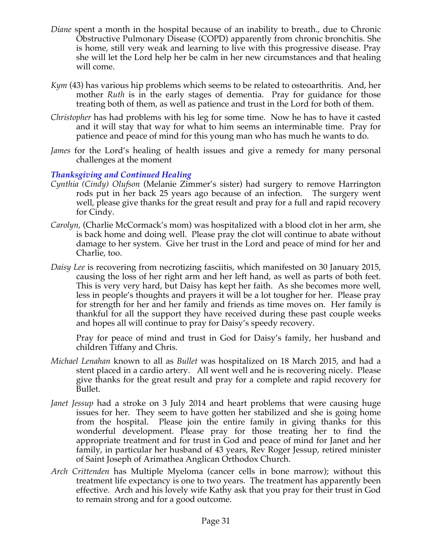- *Diane* spent a month in the hospital because of an inability to breath., due to Chronic Obstructive Pulmonary Disease (COPD) apparently from chronic bronchitis. She is home, still very weak and learning to live with this progressive disease. Pray she will let the Lord help her be calm in her new circumstances and that healing will come.
- *Kym* (43) has various hip problems which seems to be related to osteoarthritis. And, her mother *Ruth* is in the early stages of dementia. Pray for guidance for those treating both of them, as well as patience and trust in the Lord for both of them.
- *Christopher* has had problems with his leg for some time. Now he has to have it casted and it will stay that way for what to him seems an interminable time. Pray for patience and peace of mind for this young man who has much he wants to do.
- *James* for the Lord's healing of health issues and give a remedy for many personal challenges at the moment

### *Thanksgiving and Continued Healing*

- *Cynthia (Cindy) Olufson* (Melanie Zimmer's sister) had surgery to remove Harrington rods put in her back 25 years ago because of an infection. The surgery went well, please give thanks for the great result and pray for a full and rapid recovery for Cindy.
- *Carolyn,* (Charlie McCormack's mom) was hospitalized with a blood clot in her arm, she is back home and doing well. Please pray the clot will continue to abate without damage to her system. Give her trust in the Lord and peace of mind for her and Charlie, too.
- *Daisy Lee* is recovering from necrotizing fasciitis, which manifested on 30 January 2015, causing the loss of her right arm and her left hand, as well as parts of both feet. This is very very hard, but Daisy has kept her faith. As she becomes more well, less in people's thoughts and prayers it will be a lot tougher for her. Please pray for strength for her and her family and friends as time moves on. Her family is thankful for all the support they have received during these past couple weeks and hopes all will continue to pray for Daisy's speedy recovery.

Pray for peace of mind and trust in God for Daisy's family, her husband and children Tiffany and Chris.

- *Michael Lenahan* known to all as *Bullet* was hospitalized on 18 March 2015, and had a stent placed in a cardio artery. All went well and he is recovering nicely. Please give thanks for the great result and pray for a complete and rapid recovery for Bullet.
- *Janet Jessup* had a stroke on 3 July 2014 and heart problems that were causing huge issues for her. They seem to have gotten her stabilized and she is going home from the hospital. Please join the entire family in giving thanks for this wonderful development. Please pray for those treating her to find the appropriate treatment and for trust in God and peace of mind for Janet and her family, in particular her husband of 43 years, Rev Roger Jessup, retired minister of Saint Joseph of Arimathea Anglican Orthodox Church.
- *Arch Crittenden* has Multiple Myeloma (cancer cells in bone marrow); without this treatment life expectancy is one to two years. The treatment has apparently been effective. Arch and his lovely wife Kathy ask that you pray for their trust in God to remain strong and for a good outcome.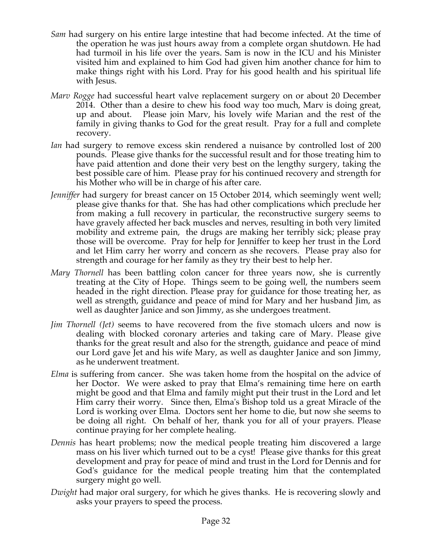- *Sam* had surgery on his entire large intestine that had become infected. At the time of the operation he was just hours away from a complete organ shutdown. He had had turmoil in his life over the years. Sam is now in the ICU and his Minister visited him and explained to him God had given him another chance for him to make things right with his Lord. Pray for his good health and his spiritual life with Jesus.
- *Marv Rogge* had successful heart valve replacement surgery on or about 20 December 2014. Other than a desire to chew his food way too much, Marv is doing great, up and about. Please join Marv, his lovely wife Marian and the rest of the family in giving thanks to God for the great result. Pray for a full and complete recovery.
- *Ian* had surgery to remove excess skin rendered a nuisance by controlled lost of 200 pounds. Please give thanks for the successful result and for those treating him to have paid attention and done their very best on the lengthy surgery, taking the best possible care of him. Please pray for his continued recovery and strength for his Mother who will be in charge of his after care.
- *Jenniffer* had surgery for breast cancer on 15 October 2014, which seemingly went well; please give thanks for that. She has had other complications which preclude her from making a full recovery in particular, the reconstructive surgery seems to have gravely affected her back muscles and nerves, resulting in both very limited mobility and extreme pain, the drugs are making her terribly sick; please pray those will be overcome. Pray for help for Jenniffer to keep her trust in the Lord and let Him carry her worry and concern as she recovers. Please pray also for strength and courage for her family as they try their best to help her.
- *Mary Thornell* has been battling colon cancer for three years now, she is currently treating at the City of Hope. Things seem to be going well, the numbers seem headed in the right direction. Please pray for guidance for those treating her, as well as strength, guidance and peace of mind for Mary and her husband Jim, as well as daughter Janice and son Jimmy, as she undergoes treatment.
- *Jim Thornell (Jet)* seems to have recovered from the five stomach ulcers and now is dealing with blocked coronary arteries and taking care of Mary. Please give thanks for the great result and also for the strength, guidance and peace of mind our Lord gave Jet and his wife Mary, as well as daughter Janice and son Jimmy, as he underwent treatment.
- *Elma* is suffering from cancer. She was taken home from the hospital on the advice of her Doctor. We were asked to pray that Elma's remaining time here on earth might be good and that Elma and family might put their trust in the Lord and let Him carry their worry. Since then, Elma's Bishop told us a great Miracle of the Lord is working over Elma. Doctors sent her home to die, but now she seems to be doing all right. On behalf of her, thank you for all of your prayers. Please continue praying for her complete healing.
- *Dennis* has heart problems; now the medical people treating him discovered a large mass on his liver which turned out to be a cyst! Please give thanks for this great development and pray for peace of mind and trust in the Lord for Dennis and for God's guidance for the medical people treating him that the contemplated surgery might go well.
- *Dwight* had major oral surgery, for which he gives thanks. He is recovering slowly and asks your prayers to speed the process.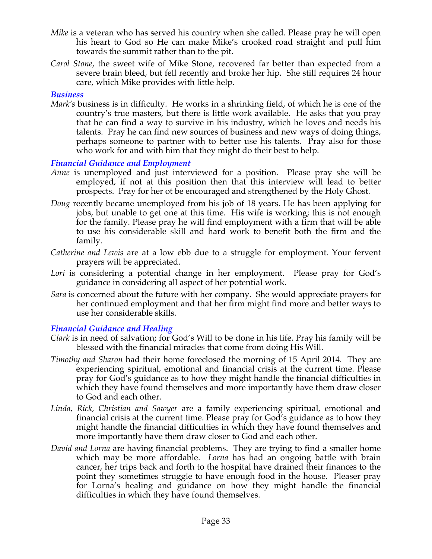- *Mike* is a veteran who has served his country when she called. Please pray he will open his heart to God so He can make Mike's crooked road straight and pull him towards the summit rather than to the pit.
- *Carol Stone*, the sweet wife of Mike Stone, recovered far better than expected from a severe brain bleed, but fell recently and broke her hip. She still requires 24 hour care, which Mike provides with little help.

#### *Business*

*Mark's* business is in difficulty. He works in a shrinking field, of which he is one of the country's true masters, but there is little work available. He asks that you pray that he can find a way to survive in his industry, which he loves and needs his talents. Pray he can find new sources of business and new ways of doing things, perhaps someone to partner with to better use his talents. Pray also for those who work for and with him that they might do their best to help.

#### *Financial Guidance and Employment*

- *Anne* is unemployed and just interviewed for a position. Please pray she will be employed, if not at this position then that this interview will lead to better prospects. Pray for her ot be encouraged and strengthened by the Holy Ghost.
- *Doug* recently became unemployed from his job of 18 years. He has been applying for jobs, but unable to get one at this time. His wife is working; this is not enough for the family. Please pray he will find employment with a firm that will be able to use his considerable skill and hard work to benefit both the firm and the family.
- *Catherine and Lewis* are at a low ebb due to a struggle for employment. Your fervent prayers will be appreciated.
- Lori is considering a potential change in her employment. Please pray for God's guidance in considering all aspect of her potential work.
- *Sara* is concerned about the future with her company. She would appreciate prayers for her continued employment and that her firm might find more and better ways to use her considerable skills.

### *Financial Guidance and Healing*

- *Clark* is in need of salvation; for God's Will to be done in his life. Pray his family will be blessed with the financial miracles that come from doing His Will.
- *Timothy and Sharon* had their home foreclosed the morning of 15 April 2014. They are experiencing spiritual, emotional and financial crisis at the current time. Please pray for God's guidance as to how they might handle the financial difficulties in which they have found themselves and more importantly have them draw closer to God and each other.
- *Linda, Rick, Christian and Sawyer* are a family experiencing spiritual, emotional and financial crisis at the current time. Please pray for God's guidance as to how they might handle the financial difficulties in which they have found themselves and more importantly have them draw closer to God and each other.
- *David and Lorna* are having financial problems. They are trying to find a smaller home which may be more affordable. *Lorna* has had an ongoing battle with brain cancer, her trips back and forth to the hospital have drained their finances to the point they sometimes struggle to have enough food in the house. Pleaser pray for Lorna's healing and guidance on how they might handle the financial difficulties in which they have found themselves.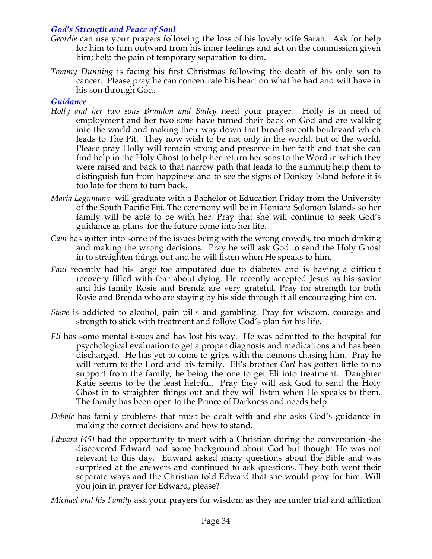### *God's Strength and Peace of Soul*

- *Geordie* can use your prayers following the loss of his lovely wife Sarah. Ask for help for him to turn outward from his inner feelings and act on the commission given him; help the pain of temporary separation to dim.
- *Tommy Dunning* is facing his first Christmas following the death of his only son to cancer. Please pray he can concentrate his heart on what he had and will have in his son through God.

### *Guidance*

- *Holly and her two sons Brandon and Bailey* need your prayer. Holly is in need of employment and her two sons have turned their back on God and are walking into the world and making their way down that broad smooth boulevard which leads to The Pit. They now wish to be not only in the world, but of the world. Please pray Holly will remain strong and preserve in her faith and that she can find help in the Holy Ghost to help her return her sons to the Word in which they were raised and back to that narrow path that leads to the summit; help them to distinguish fun from happiness and to see the signs of Donkey Island before it is too late for them to turn back.
- *Maria Legumana* will graduate with a Bachelor of Education Friday from the University of the South Pacific Fiji. The ceremony will be in Honiara Solomon Islands so her family will be able to be with her. Pray that she will continue to seek God's guidance as plans for the future come into her life.
- *Cam* has gotten into some of the issues being with the wrong crowds, too much dinking and making the wrong decisions. Pray he will ask God to send the Holy Ghost in to straighten things out and he will listen when He speaks to him.
- *Paul* recently had his large toe amputated due to diabetes and is having a difficult recovery filled with fear about dying. He recently accepted Jesus as his savior and his family Rosie and Brenda are very grateful. Pray for strength for both Rosie and Brenda who are staying by his side through it all encouraging him on.
- *Steve* is addicted to alcohol, pain pills and gambling. Pray for wisdom, courage and strength to stick with treatment and follow God's plan for his life.
- *Eli* has some mental issues and has lost his way. He was admitted to the hospital for psychological evaluation to get a proper diagnosis and medications and has been discharged. He has yet to come to grips with the demons chasing him. Pray he will return to the Lord and his family. Eli's brother *Carl* has gotten little to no support from the family, he being the one to get Eli into treatment. Daughter Katie seems to be the least helpful. Pray they will ask God to send the Holy Ghost in to straighten things out and they will listen when He speaks to them. The family has been open to the Prince of Darkness and needs help.
- *Debbie* has family problems that must be dealt with and she asks God's guidance in making the correct decisions and how to stand.
- *Edward (45)* had the opportunity to meet with a Christian during the conversation she discovered Edward had some background about God but thought He was not relevant to this day. Edward asked many questions about the Bible and was surprised at the answers and continued to ask questions. They both went their separate ways and the Christian told Edward that she would pray for him. Will you join in prayer for Edward, please?

*Michael and his Family* ask your prayers for wisdom as they are under trial and affliction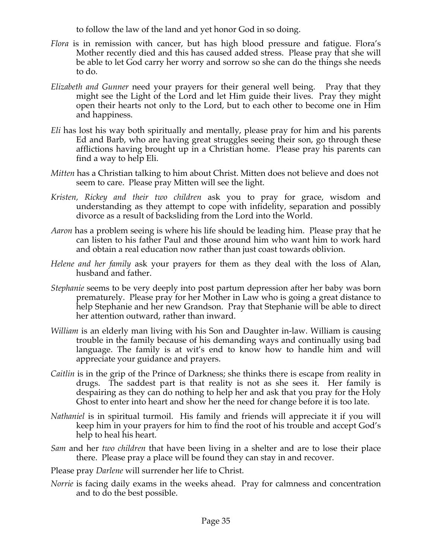to follow the law of the land and yet honor God in so doing.

- *Flora* is in remission with cancer, but has high blood pressure and fatigue. Flora's Mother recently died and this has caused added stress. Please pray that she will be able to let God carry her worry and sorrow so she can do the things she needs to do.
- *Elizabeth and Gunner* need your prayers for their general well being. Pray that they might see the Light of the Lord and let Him guide their lives. Pray they might open their hearts not only to the Lord, but to each other to become one in Him and happiness.
- *Eli* has lost his way both spiritually and mentally, please pray for him and his parents Ed and Barb, who are having great struggles seeing their son, go through these afflictions having brought up in a Christian home. Please pray his parents can find a way to help Eli.
- *Mitten* has a Christian talking to him about Christ. Mitten does not believe and does not seem to care. Please pray Mitten will see the light.
- *Kristen, Rickey and their two children* ask you to pray for grace, wisdom and understanding as they attempt to cope with infidelity, separation and possibly divorce as a result of backsliding from the Lord into the World.
- *Aaron* has a problem seeing is where his life should be leading him. Please pray that he can listen to his father Paul and those around him who want him to work hard and obtain a real education now rather than just coast towards oblivion.
- *Helene and her family* ask your prayers for them as they deal with the loss of Alan, husband and father.
- *Stephanie* seems to be very deeply into post partum depression after her baby was born prematurely. Please pray for her Mother in Law who is going a great distance to help Stephanie and her new Grandson. Pray that Stephanie will be able to direct her attention outward, rather than inward.
- *William* is an elderly man living with his Son and Daughter in-law. William is causing trouble in the family because of his demanding ways and continually using bad language. The family is at wit's end to know how to handle him and will appreciate your guidance and prayers.
- *Caitlin* is in the grip of the Prince of Darkness; she thinks there is escape from reality in drugs. The saddest part is that reality is not as she sees it. Her family is despairing as they can do nothing to help her and ask that you pray for the Holy Ghost to enter into heart and show her the need for change before it is too late.
- *Nathaniel* is in spiritual turmoil. His family and friends will appreciate it if you will keep him in your prayers for him to find the root of his trouble and accept God's help to heal his heart.
- *Sam* and her *two children* that have been living in a shelter and are to lose their place there. Please pray a place will be found they can stay in and recover.
- Please pray *Darlene* will surrender her life to Christ.
- *Norrie* is facing daily exams in the weeks ahead. Pray for calmness and concentration and to do the best possible.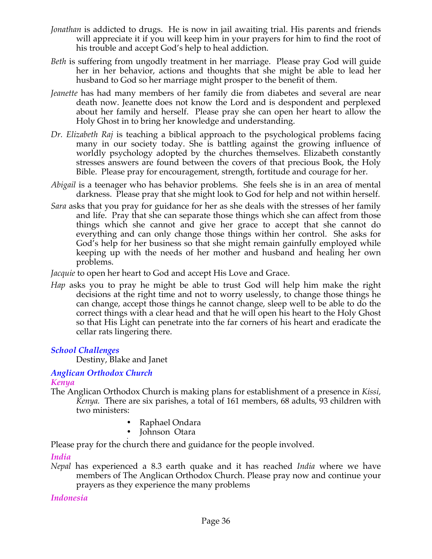- *Jonathan* is addicted to drugs. He is now in jail awaiting trial. His parents and friends will appreciate it if you will keep him in your prayers for him to find the root of his trouble and accept God's help to heal addiction.
- *Beth* is suffering from ungodly treatment in her marriage. Please pray God will guide her in her behavior, actions and thoughts that she might be able to lead her husband to God so her marriage might prosper to the benefit of them.
- *Jeanette* has had many members of her family die from diabetes and several are near death now. Jeanette does not know the Lord and is despondent and perplexed about her family and herself. Please pray she can open her heart to allow the Holy Ghost in to bring her knowledge and understanding.
- *Dr. Elizabeth Raj* is teaching a biblical approach to the psychological problems facing many in our society today. She is battling against the growing influence of worldly psychology adopted by the churches themselves. Elizabeth constantly stresses answers are found between the covers of that precious Book, the Holy Bible. Please pray for encouragement, strength, fortitude and courage for her.
- *Abigail* is a teenager who has behavior problems. She feels she is in an area of mental darkness. Please pray that she might look to God for help and not within herself.
- *Sara* asks that you pray for guidance for her as she deals with the stresses of her family and life. Pray that she can separate those things which she can affect from those things which she cannot and give her grace to accept that she cannot do everything and can only change those things within her control. She asks for God's help for her business so that she might remain gainfully employed while keeping up with the needs of her mother and husband and healing her own problems.

*Jacquie* to open her heart to God and accept His Love and Grace.

*Hap* asks you to pray he might be able to trust God will help him make the right decisions at the right time and not to worry uselessly, to change those things he can change, accept those things he cannot change, sleep well to be able to do the correct things with a clear head and that he will open his heart to the Holy Ghost so that His Light can penetrate into the far corners of his heart and eradicate the cellar rats lingering there.

# *School Challenges*

Destiny, Blake and Janet

#### *Anglican Orthodox Church Kenya*

- The Anglican Orthodox Church is making plans for establishment of a presence in *Kissi, Kenya.* There are six parishes, a total of 161 members, 68 adults, 93 children with two ministers:
	- Raphael Ondara
	- Iohnson Otara

• Please pray for the church there and guidance for the people involved.

# *India*

*Nepal* has experienced a 8.3 earth quake and it has reached *India* where we have members of The Anglican Orthodox Church. Please pray now and continue your prayers as they experience the many problems

# *Indonesia*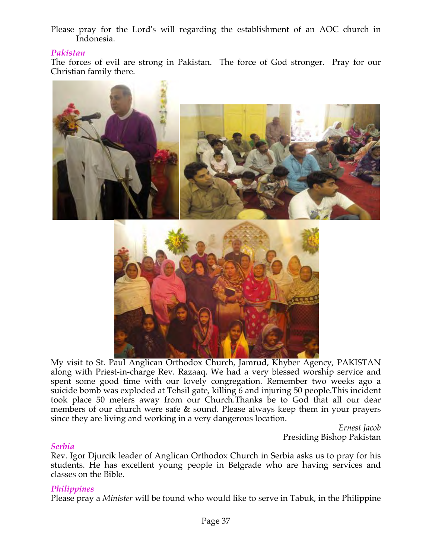Please pray for the Lord's will regarding the establishment of an AOC church in Indonesia.

### *Pakistan*

The forces of evil are strong in Pakistan. The force of God stronger. Pray for our Christian family there.



My visit to St. Paul Anglican Orthodox Church, Jamrud, Khyber Agency, PAKISTAN along with Priest-in-charge Rev. Razaaq. We had a very blessed worship service and spent some good time with our lovely congregation. Remember two weeks ago a suicide bomb was exploded at Tehsil gate, killing 6 and injuring 50 people. This incident took place 50 meters away from our Church.Thanks be to God that all our dear members of our church were safe & sound. Please always keep them in your prayers since they are living and working in a very dangerous location.

> *Ernest Jacob* Presiding Bishop Pakistan

#### *Serbia*

Rev. Igor Djurcik leader of Anglican Orthodox Church in Serbia asks us to pray for his students. He has excellent young people in Belgrade who are having services and classes on the Bible.

### *Philippines*

Please pray a *Minister* will be found who would like to serve in Tabuk, in the Philippine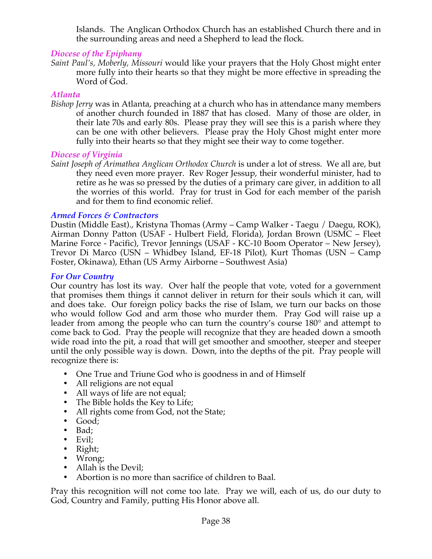Islands. The Anglican Orthodox Church has an established Church there and in the surrounding areas and need a Shepherd to lead the flock*.*

### *Diocese of the Epiphany*

*Saint Paul's, Moberly, Missouri* would like your prayers that the Holy Ghost might enter more fully into their hearts so that they might be more effective in spreading the Word of God.

### *Atlanta*

*Bishop Jerry* was in Atlanta, preaching at a church who has in attendance many members of another church founded in 1887 that has closed. Many of those are older, in their late 70s and early 80s. Please pray they will see this is a parish where they can be one with other believers. Please pray the Holy Ghost might enter more fully into their hearts so that they might see their way to come together.

### *Diocese of Virginia*

*Saint Joseph of Arimathea Anglican Orthodox Church* is under a lot of stress. We all are, but they need even more prayer. Rev Roger Jessup, their wonderful minister, had to retire as he was so pressed by the duties of a primary care giver, in addition to all the worries of this world. Pray for trust in God for each member of the parish and for them to find economic relief.

### *Armed Forces & Contractors*

Dustin (Middle East)., Kristyna Thomas (Army – Camp Walker - Taegu / Daegu, ROK), Airman Donny Patton (USAF - Hulbert Field, Florida), Jordan Brown (USMC – Fleet Marine Force - Pacific), Trevor Jennings (USAF - KC-10 Boom Operator – New Jersey), Trevor Di Marco (USN – Whidbey Island, EF-18 Pilot), Kurt Thomas (USN – Camp Foster, Okinawa), Ethan (US Army Airborne – Southwest Asia)

### *For Our Country*

Our country has lost its way. Over half the people that vote, voted for a government that promises them things it cannot deliver in return for their souls which it can, will and does take. Our foreign policy backs the rise of Islam, we turn our backs on those who would follow God and arm those who murder them. Pray God will raise up a leader from among the people who can turn the country's course 180° and attempt to come back to God. Pray the people will recognize that they are headed down a smooth wide road into the pit, a road that will get smoother and smoother, steeper and steeper until the only possible way is down. Down, into the depths of the pit. Pray people will recognize there is:

- One True and Triune God who is goodness in and of Himself
- All religions are not equal
- All ways of life are not equal;
- The Bible holds the Key to Life;
- All rights come from God, not the State;
- Good;
- Bad;
- Evil;
- Right;
- Wrong;
- Allah is the Devil;
- Abortion is no more than sacrifice of children to Baal.

Pray this recognition will not come too late. Pray we will, each of us, do our duty to God, Country and Family, putting His Honor above all.